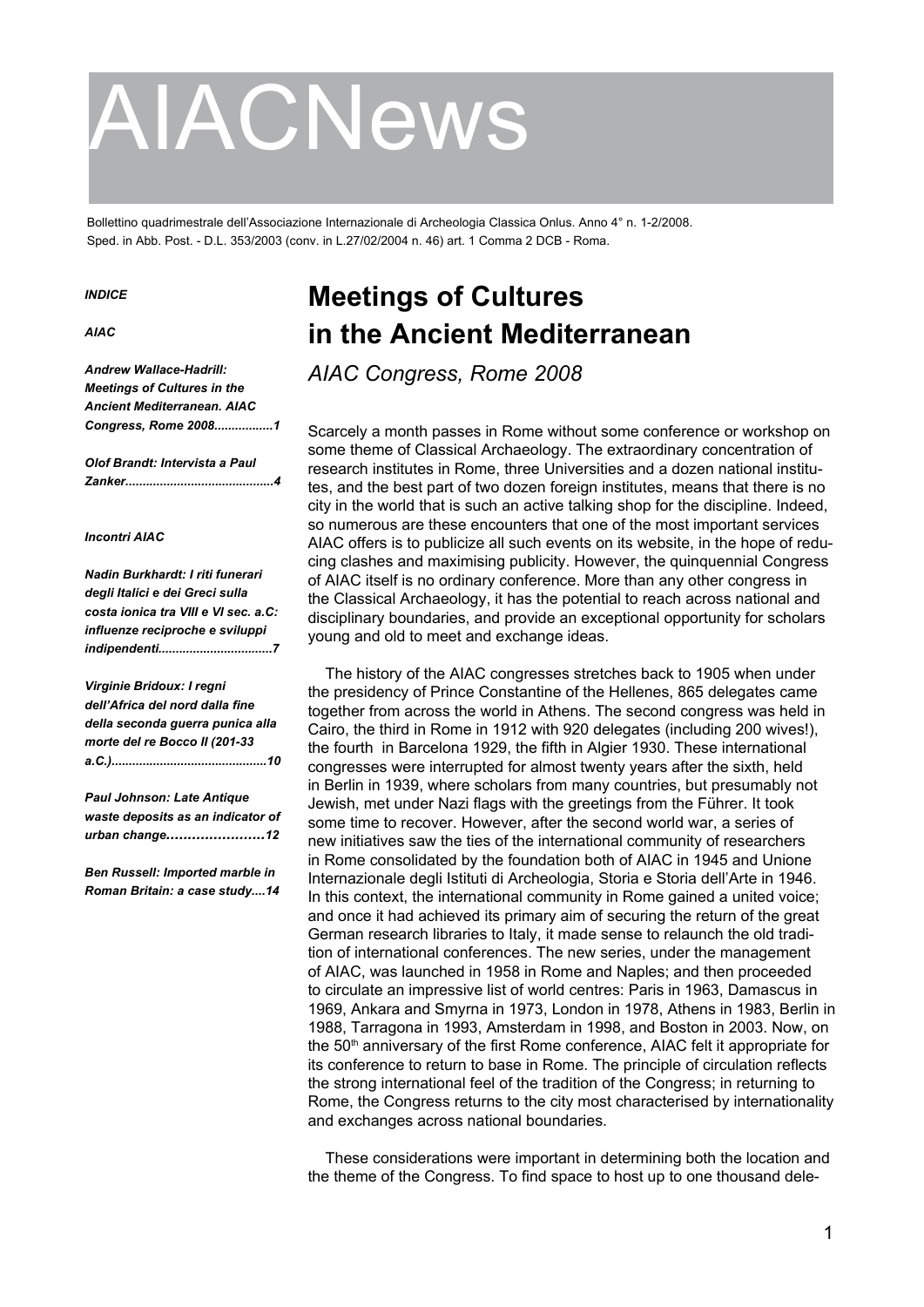# AIACNews

Bollettino quadrimestrale dell'Associazione Internazionale di Archeologia Classica Onlus. Anno 4° n. 1-2/2008. Sped. in Abb. Post. - D.L. 353/2003 (conv. in L.27/02/2004 n. 46) art. 1 Comma 2 DCB - Roma.

#### *INDICE*

*AIAC*

*Andrew Wallace-Hadrill: Meetings of Cultures in the Ancient Mediterranean. AIAC Congress, Rome 2008.................1*

*Olof Brandt: Intervista a Paul Zanker...........................................4*

#### *Incontri AIAC*

*Nadin Burkhardt: I riti funerari degli Italici e dei Greci sulla costa ionica tra VIII e VI sec. a.C: influenze reciproche e sviluppi indipendenti.................................7*

*Virginie Bridoux: I regni dell'Africa del nord dalla fine della seconda guerra punica alla morte del re Bocco II (201-33 a.C.).............................................10*

*Paul Johnson: Late Antique waste deposits as an indicator of urban change.......................12*

*Ben Russell: Imported marble in Roman Britain: a case study....14*

## **Meetings of Cultures in the Ancient Mediterranean**

*AIAC Congress, Rome 2008*

Scarcely a month passes in Rome without some conference or workshop on some theme of Classical Archaeology. The extraordinary concentration of research institutes in Rome, three Universities and a dozen national institutes, and the best part of two dozen foreign institutes, means that there is no city in the world that is such an active talking shop for the discipline. Indeed, so numerous are these encounters that one of the most important services AIAC offers is to publicize all such events on its website, in the hope of reducing clashes and maximising publicity. However, the quinquennial Congress of AIAC itself is no ordinary conference. More than any other congress in the Classical Archaeology, it has the potential to reach across national and disciplinary boundaries, and provide an exceptional opportunity for scholars young and old to meet and exchange ideas.

The history of the AIAC congresses stretches back to 1905 when under the presidency of Prince Constantine of the Hellenes, 865 delegates came together from across the world in Athens. The second congress was held in Cairo, the third in Rome in 1912 with 920 delegates (including 200 wives!), the fourth in Barcelona 1929, the fifth in Algier 1930. These international congresses were interrupted for almost twenty years after the sixth, held in Berlin in 1939, where scholars from many countries, but presumably not Jewish, met under Nazi flags with the greetings from the Führer. It took some time to recover. However, after the second world war, a series of new initiatives saw the ties of the international community of researchers in Rome consolidated by the foundation both of AIAC in 1945 and Unione Internazionale degli Istituti di Archeologia, Storia e Storia dell'Arte in 1946. In this context, the international community in Rome gained a united voice; and once it had achieved its primary aim of securing the return of the great German research libraries to Italy, it made sense to relaunch the old tradition of international conferences. The new series, under the management of AIAC, was launched in 1958 in Rome and Naples; and then proceeded to circulate an impressive list of world centres: Paris in 1963, Damascus in 1969, Ankara and Smyrna in 1973, London in 1978, Athens in 1983, Berlin in 1988, Tarragona in 1993, Amsterdam in 1998, and Boston in 2003. Now, on the 50<sup>th</sup> anniversary of the first Rome conference, AIAC felt it appropriate for its conference to return to base in Rome. The principle of circulation reflects the strong international feel of the tradition of the Congress; in returning to Rome, the Congress returns to the city most characterised by internationality and exchanges across national boundaries.

These considerations were important in determining both the location and the theme of the Congress. To find space to host up to one thousand dele-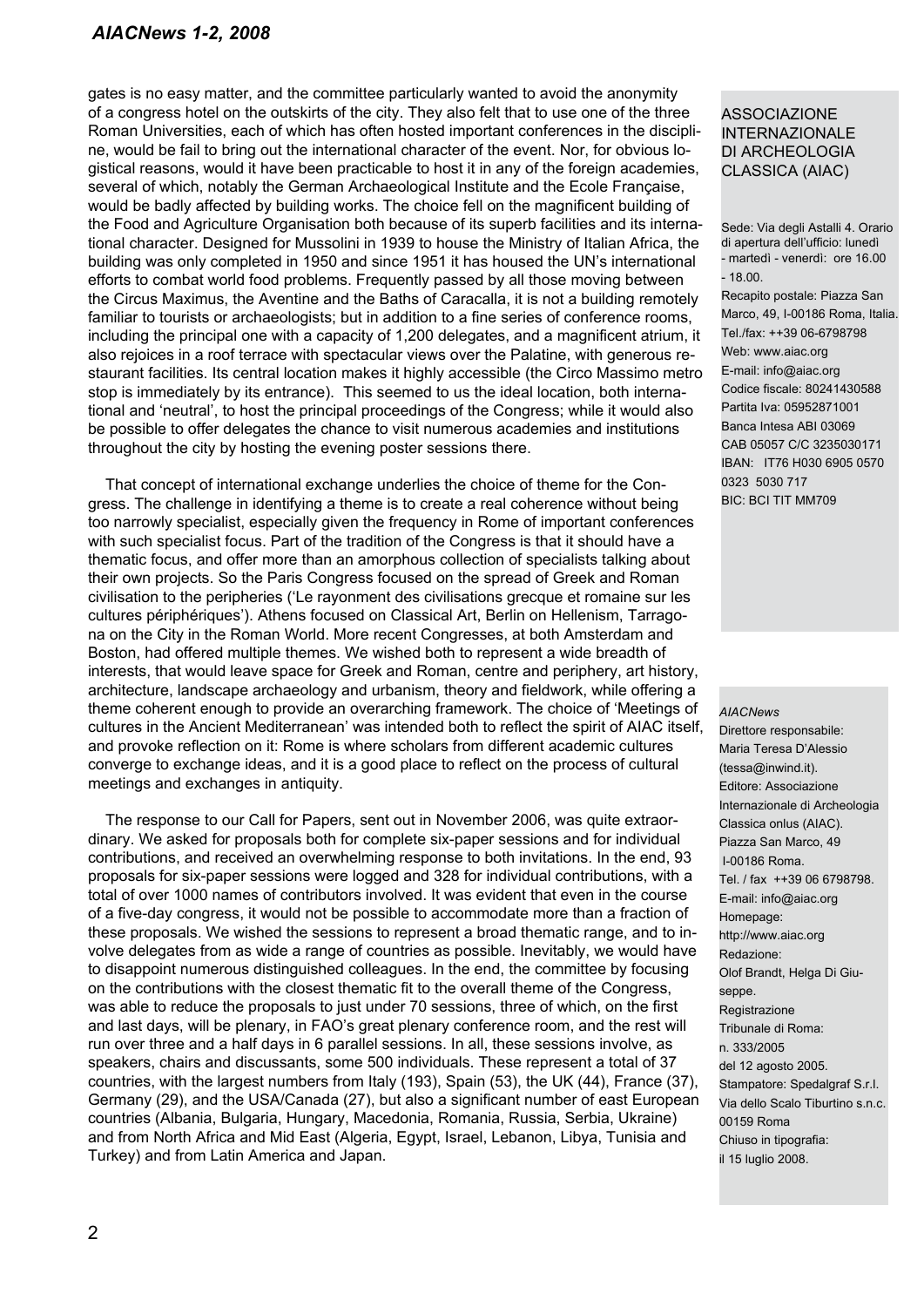gates is no easy matter, and the committee particularly wanted to avoid the anonymity of a congress hotel on the outskirts of the city. They also felt that to use one of the three Roman Universities, each of which has often hosted important conferences in the discipline, would be fail to bring out the international character of the event. Nor, for obvious logistical reasons, would it have been practicable to host it in any of the foreign academies, several of which, notably the German Archaeological Institute and the Ecole Française, would be badly affected by building works. The choice fell on the magnificent building of the Food and Agriculture Organisation both because of its superb facilities and its international character. Designed for Mussolini in 1939 to house the Ministry of Italian Africa, the building was only completed in 1950 and since 1951 it has housed the UN's international efforts to combat world food problems. Frequently passed by all those moving between the Circus Maximus, the Aventine and the Baths of Caracalla, it is not a building remotely familiar to tourists or archaeologists; but in addition to a fine series of conference rooms, including the principal one with a capacity of 1,200 delegates, and a magnificent atrium, it also rejoices in a roof terrace with spectacular views over the Palatine, with generous restaurant facilities. Its central location makes it highly accessible (the Circo Massimo metro stop is immediately by its entrance). This seemed to us the ideal location, both international and 'neutral', to host the principal proceedings of the Congress; while it would also be possible to offer delegates the chance to visit numerous academies and institutions throughout the city by hosting the evening poster sessions there.

That concept of international exchange underlies the choice of theme for the Congress. The challenge in identifying a theme is to create a real coherence without being too narrowly specialist, especially given the frequency in Rome of important conferences with such specialist focus. Part of the tradition of the Congress is that it should have a thematic focus, and offer more than an amorphous collection of specialists talking about their own projects. So the Paris Congress focused on the spread of Greek and Roman civilisation to the peripheries ('Le rayonment des civilisations grecque et romaine sur les cultures périphériques'). Athens focused on Classical Art, Berlin on Hellenism, Tarragona on the City in the Roman World. More recent Congresses, at both Amsterdam and Boston, had offered multiple themes. We wished both to represent a wide breadth of interests, that would leave space for Greek and Roman, centre and periphery, art history, architecture, landscape archaeology and urbanism, theory and fieldwork, while offering a theme coherent enough to provide an overarching framework. The choice of 'Meetings of cultures in the Ancient Mediterranean' was intended both to reflect the spirit of AIAC itself, and provoke reflection on it: Rome is where scholars from different academic cultures converge to exchange ideas, and it is a good place to reflect on the process of cultural meetings and exchanges in antiquity.

The response to our Call for Papers, sent out in November 2006, was quite extraordinary. We asked for proposals both for complete six-paper sessions and for individual contributions, and received an overwhelming response to both invitations. In the end, 93 proposals for six-paper sessions were logged and 328 for individual contributions, with a total of over 1000 names of contributors involved. It was evident that even in the course of a five-day congress, it would not be possible to accommodate more than a fraction of these proposals. We wished the sessions to represent a broad thematic range, and to involve delegates from as wide a range of countries as possible. Inevitably, we would have to disappoint numerous distinguished colleagues. In the end, the committee by focusing on the contributions with the closest thematic fit to the overall theme of the Congress, was able to reduce the proposals to just under 70 sessions, three of which, on the first and last days, will be plenary, in FAO's great plenary conference room, and the rest will run over three and a half days in 6 parallel sessions. In all, these sessions involve, as speakers, chairs and discussants, some 500 individuals. These represent a total of 37 countries, with the largest numbers from Italy (193), Spain (53), the UK (44), France (37), Germany (29), and the USA/Canada (27), but also a significant number of east European countries (Albania, Bulgaria, Hungary, Macedonia, Romania, Russia, Serbia, Ukraine) and from North Africa and Mid East (Algeria, Egypt, Israel, Lebanon, Libya, Tunisia and Turkey) and from Latin America and Japan.

#### ASSOCIAZIONE INTERNAZIONALE DI ARCHEOLOGIA CLASSICA (AIAC)

Sede: Via degli Astalli 4. Orario di apertura dell'ufficio: lunedì - martedì - venerdì: ore 16.00 - 18.00.

Recapito postale: Piazza San Marco, 49, I-00186 Roma, Italia. Tel./fax: ++39 06-6798798 Web: www.aiac.org E-mail: info@aiac.org Codice fiscale: 80241430588 Partita Iva: 05952871001 Banca Intesa ABI 03069 CAB 05057 C/C 3235030171 IBAN: IT76 H030 6905 0570 0323 5030 717 BIC: BCI TIT MM709

#### *AIACNews*

Direttore responsabile: Maria Teresa D'Alessio (tessa@inwind.it). Editore: Associazione Internazionale di Archeologia Classica onlus (AIAC). Piazza San Marco, 49 I-00186 Roma. Tel. / fax ++39 06 6798798. E-mail: info@aiac.org Homepage: http://www.aiac.org Redazione: Olof Brandt, Helga Di Giuseppe. Registrazione Tribunale di Roma: n. 333/2005 del 12 agosto 2005. Stampatore: Spedalgraf S.r.l. Via dello Scalo Tiburtino s.n.c. 00159 Roma Chiuso in tipografia: il 15 luglio 2008.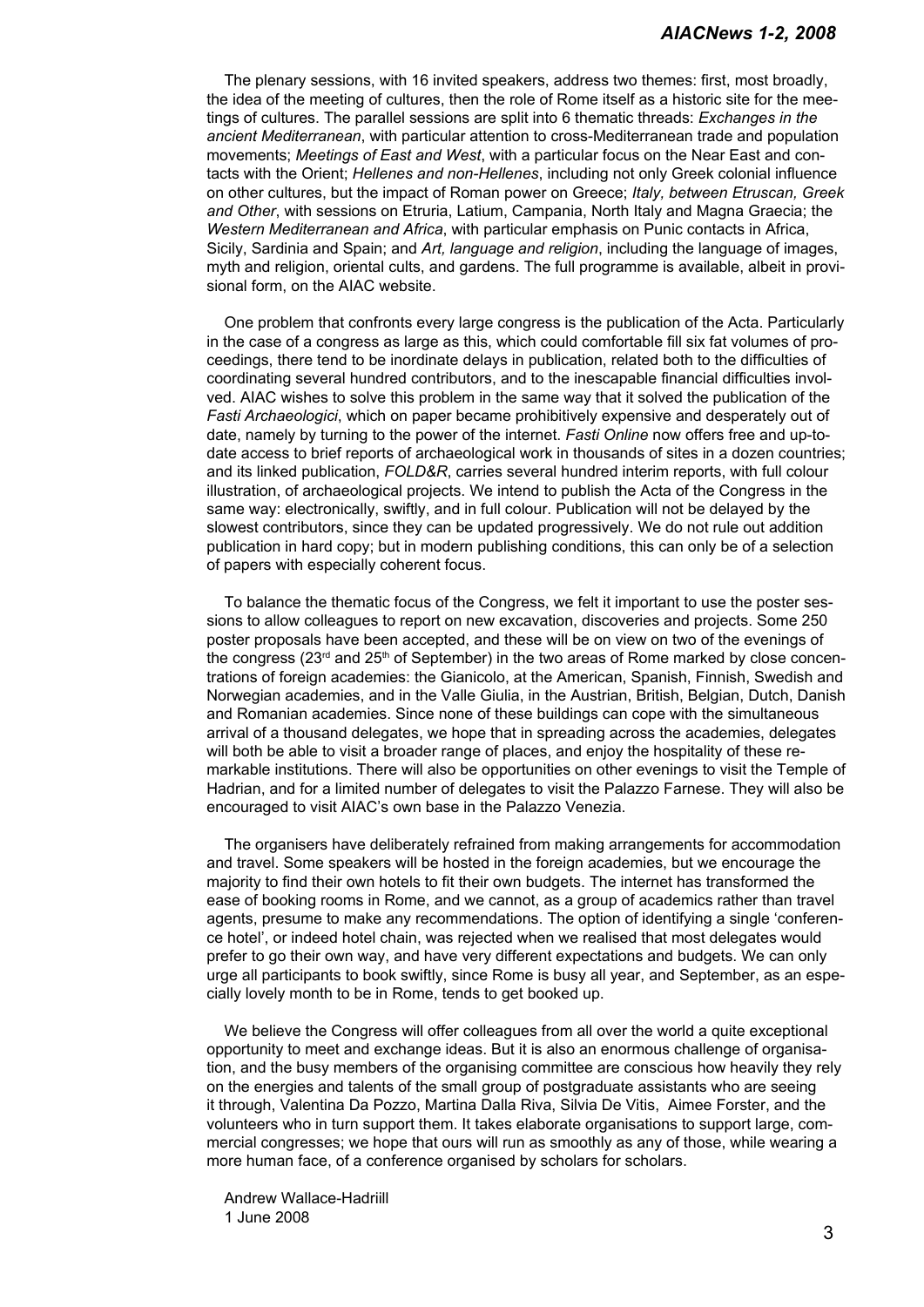The plenary sessions, with 16 invited speakers, address two themes: first, most broadly, the idea of the meeting of cultures, then the role of Rome itself as a historic site for the meetings of cultures. The parallel sessions are split into 6 thematic threads: *Exchanges in the ancient Mediterranean*, with particular attention to cross-Mediterranean trade and population movements; *Meetings of East and West*, with a particular focus on the Near East and contacts with the Orient; *Hellenes and non-Hellenes*, including not only Greek colonial influence on other cultures, but the impact of Roman power on Greece; *Italy, between Etruscan, Greek and Other*, with sessions on Etruria, Latium, Campania, North Italy and Magna Graecia; the *Western Mediterranean and Africa*, with particular emphasis on Punic contacts in Africa, Sicily, Sardinia and Spain; and *Art, language and religion*, including the language of images, myth and religion, oriental cults, and gardens. The full programme is available, albeit in provisional form, on the AIAC website.

One problem that confronts every large congress is the publication of the Acta. Particularly in the case of a congress as large as this, which could comfortable fill six fat volumes of proceedings, there tend to be inordinate delays in publication, related both to the difficulties of coordinating several hundred contributors, and to the inescapable financial difficulties involved. AIAC wishes to solve this problem in the same way that it solved the publication of the *Fasti Archaeologici*, which on paper became prohibitively expensive and desperately out of date, namely by turning to the power of the internet. *Fasti Online* now offers free and up-todate access to brief reports of archaeological work in thousands of sites in a dozen countries; and its linked publication, *FOLD&R*, carries several hundred interim reports, with full colour illustration, of archaeological projects. We intend to publish the Acta of the Congress in the same way: electronically, swiftly, and in full colour. Publication will not be delayed by the slowest contributors, since they can be updated progressively. We do not rule out addition publication in hard copy; but in modern publishing conditions, this can only be of a selection of papers with especially coherent focus.

To balance the thematic focus of the Congress, we felt it important to use the poster sessions to allow colleagues to report on new excavation, discoveries and projects. Some 250 poster proposals have been accepted, and these will be on view on two of the evenings of the congress ( $23<sup>rd</sup>$  and  $25<sup>th</sup>$  of September) in the two areas of Rome marked by close concentrations of foreign academies: the Gianicolo, at the American, Spanish, Finnish, Swedish and Norwegian academies, and in the Valle Giulia, in the Austrian, British, Belgian, Dutch, Danish and Romanian academies. Since none of these buildings can cope with the simultaneous arrival of a thousand delegates, we hope that in spreading across the academies, delegates will both be able to visit a broader range of places, and enjoy the hospitality of these remarkable institutions. There will also be opportunities on other evenings to visit the Temple of Hadrian, and for a limited number of delegates to visit the Palazzo Farnese. They will also be encouraged to visit AIAC's own base in the Palazzo Venezia.

The organisers have deliberately refrained from making arrangements for accommodation and travel. Some speakers will be hosted in the foreign academies, but we encourage the majority to find their own hotels to fit their own budgets. The internet has transformed the ease of booking rooms in Rome, and we cannot, as a group of academics rather than travel agents, presume to make any recommendations. The option of identifying a single 'conference hotel', or indeed hotel chain, was rejected when we realised that most delegates would prefer to go their own way, and have very different expectations and budgets. We can only urge all participants to book swiftly, since Rome is busy all year, and September, as an especially lovely month to be in Rome, tends to get booked up.

We believe the Congress will offer colleagues from all over the world a quite exceptional opportunity to meet and exchange ideas. But it is also an enormous challenge of organisation, and the busy members of the organising committee are conscious how heavily they rely on the energies and talents of the small group of postgraduate assistants who are seeing it through, Valentina Da Pozzo, Martina Dalla Riva, Silvia De Vitis, Aimee Forster, and the volunteers who in turn support them. It takes elaborate organisations to support large, commercial congresses; we hope that ours will run as smoothly as any of those, while wearing a more human face, of a conference organised by scholars for scholars.

Andrew Wallace-Hadriill 1 June 2008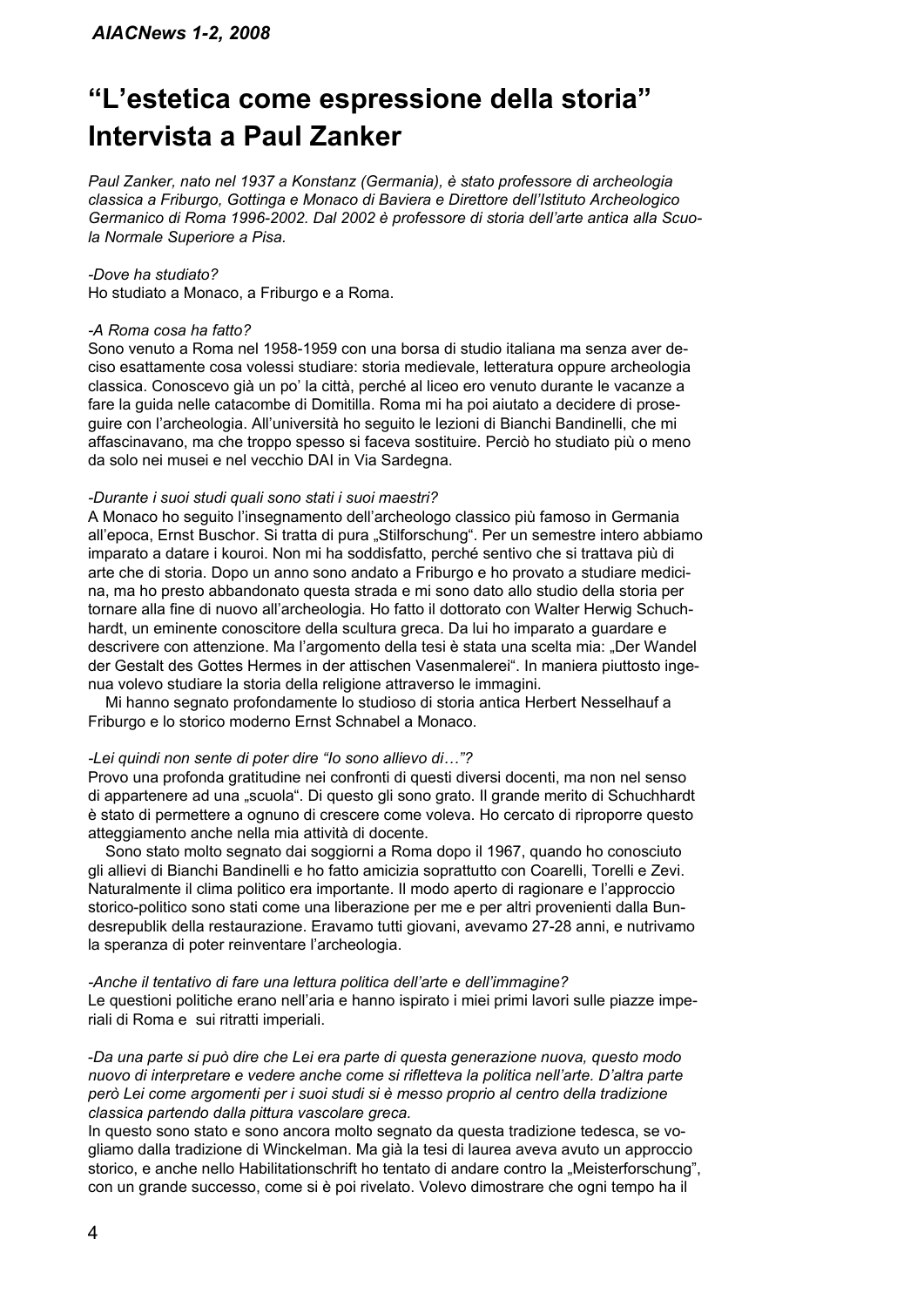## **"L'estetica come espressione della storia" Intervista a Paul Zanker**

*Paul Zanker, nato nel 1937 a Konstanz (Germania), è stato professore di archeologia classica a Friburgo, Gottinga e Monaco di Baviera e Direttore dell'Istituto Archeologico Germanico di Roma 1996-2002. Dal 2002 è professore di storia dell'arte antica alla Scuola Normale Superiore a Pisa.*

#### *-Dove ha studiato?*

Ho studiato a Monaco, a Friburgo e a Roma.

#### *-A Roma cosa ha fatto?*

Sono venuto a Roma nel 1958-1959 con una borsa di studio italiana ma senza aver deciso esattamente cosa volessi studiare: storia medievale, letteratura oppure archeologia classica. Conoscevo già un po' la città, perché al liceo ero venuto durante le vacanze a fare la guida nelle catacombe di Domitilla. Roma mi ha poi aiutato a decidere di proseguire con l'archeologia. All'università ho seguito le lezioni di Bianchi Bandinelli, che mi affascinavano, ma che troppo spesso si faceva sostituire. Perciò ho studiato più o meno da solo nei musei e nel vecchio DAI in Via Sardegna.

#### *-Durante i suoi studi quali sono stati i suoi maestri?*

A Monaco ho seguito l'insegnamento dell'archeologo classico più famoso in Germania all'epoca, Ernst Buschor. Si tratta di pura "Stilforschung". Per un semestre intero abbiamo imparato a datare i kouroi. Non mi ha soddisfatto, perché sentivo che si trattava più di arte che di storia. Dopo un anno sono andato a Friburgo e ho provato a studiare medicina, ma ho presto abbandonato questa strada e mi sono dato allo studio della storia per tornare alla fine di nuovo all'archeologia. Ho fatto il dottorato con Walter Herwig Schuchhardt, un eminente conoscitore della scultura greca. Da lui ho imparato a guardare e descrivere con attenzione. Ma l'argomento della tesi è stata una scelta mia: "Der Wandel der Gestalt des Gottes Hermes in der attischen Vasenmalerei". In maniera piuttosto ingenua volevo studiare la storia della religione attraverso le immagini.

Mi hanno segnato profondamente lo studioso di storia antica Herbert Nesselhauf a Friburgo e lo storico moderno Ernst Schnabel a Monaco.

#### *-Lei quindi non sente di poter dire "Io sono allievo di…"?*

Provo una profonda gratitudine nei confronti di questi diversi docenti, ma non nel senso di appartenere ad una "scuola". Di questo gli sono grato. Il grande merito di Schuchhardt è stato di permettere a ognuno di crescere come voleva. Ho cercato di riproporre questo atteggiamento anche nella mia attività di docente.

Sono stato molto segnato dai soggiorni a Roma dopo il 1967, quando ho conosciuto gli allievi di Bianchi Bandinelli e ho fatto amicizia soprattutto con Coarelli, Torelli e Zevi. Naturalmente il clima politico era importante. Il modo aperto di ragionare e l'approccio storico-politico sono stati come una liberazione per me e per altri provenienti dalla Bundesrepublik della restaurazione. Eravamo tutti giovani, avevamo 27-28 anni, e nutrivamo la speranza di poter reinventare l'archeologia.

#### *-Anche il tentativo di fare una lettura politica dell'arte e dell'immagine?*

Le questioni politiche erano nell'aria e hanno ispirato i miei primi lavori sulle piazze imperiali di Roma e sui ritratti imperiali.

-*Da una parte si può dire che Lei era parte di questa generazione nuova, questo modo nuovo di interpretare e vedere anche come si rifletteva la politica nell'arte. D'altra parte però Lei come argomenti per i suoi studi si è messo proprio al centro della tradizione classica partendo dalla pittura vascolare greca.*

In questo sono stato e sono ancora molto segnato da questa tradizione tedesca, se vogliamo dalla tradizione di Winckelman. Ma già la tesi di laurea aveva avuto un approccio storico, e anche nello Habilitationschrift ho tentato di andare contro la "Meisterforschung", con un grande successo, come si è poi rivelato. Volevo dimostrare che ogni tempo ha il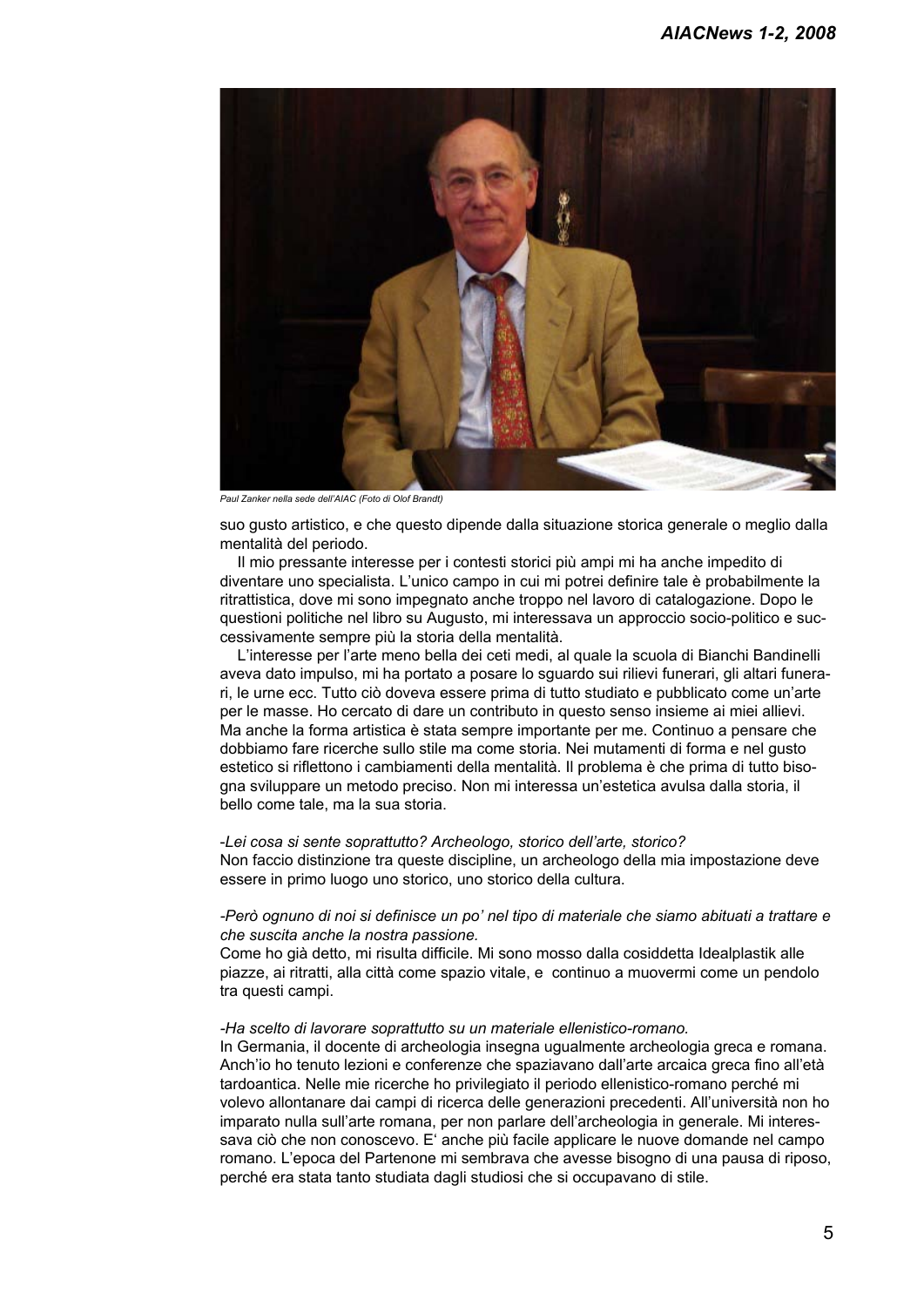

*Paul Zanker nella sede dell'AIAC (Foto di Olof Brandt)*

suo gusto artistico, e che questo dipende dalla situazione storica generale o meglio dalla mentalità del periodo.

Il mio pressante interesse per i contesti storici più ampi mi ha anche impedito di diventare uno specialista. L'unico campo in cui mi potrei definire tale è probabilmente la ritrattistica, dove mi sono impegnato anche troppo nel lavoro di catalogazione. Dopo le questioni politiche nel libro su Augusto, mi interessava un approccio socio-politico e successivamente sempre più la storia della mentalità.

L'interesse per l'arte meno bella dei ceti medi, al quale la scuola di Bianchi Bandinelli aveva dato impulso, mi ha portato a posare lo sguardo sui rilievi funerari, gli altari funerari, le urne ecc. Tutto ciò doveva essere prima di tutto studiato e pubblicato come un'arte per le masse. Ho cercato di dare un contributo in questo senso insieme ai miei allievi. Ma anche la forma artistica è stata sempre importante per me. Continuo a pensare che dobbiamo fare ricerche sullo stile ma come storia. Nei mutamenti di forma e nel gusto estetico si riflettono i cambiamenti della mentalità. Il problema è che prima di tutto bisogna sviluppare un metodo preciso. Non mi interessa un'estetica avulsa dalla storia, il bello come tale, ma la sua storia.

#### -*Lei cosa si sente soprattutto? Archeologo, storico dell'arte, storico?*

Non faccio distinzione tra queste discipline, un archeologo della mia impostazione deve essere in primo luogo uno storico, uno storico della cultura.

#### *-Però ognuno di noi si definisce un po' nel tipo di materiale che siamo abituati a trattare e che suscita anche la nostra passione.*

Come ho già detto, mi risulta difficile. Mi sono mosso dalla cosiddetta Idealplastik alle piazze, ai ritratti, alla città come spazio vitale, e continuo a muovermi come un pendolo tra questi campi.

#### *-Ha scelto di lavorare soprattutto su un materiale ellenistico-romano.*

In Germania, il docente di archeologia insegna ugualmente archeologia greca e romana. Anch'io ho tenuto lezioni e conferenze che spaziavano dall'arte arcaica greca fino all'età tardoantica. Nelle mie ricerche ho privilegiato il periodo ellenistico-romano perché mi volevo allontanare dai campi di ricerca delle generazioni precedenti. All'università non ho imparato nulla sull'arte romana, per non parlare dell'archeologia in generale. Mi interessava ciò che non conoscevo. E' anche più facile applicare le nuove domande nel campo romano. L'epoca del Partenone mi sembrava che avesse bisogno di una pausa di riposo, perché era stata tanto studiata dagli studiosi che si occupavano di stile.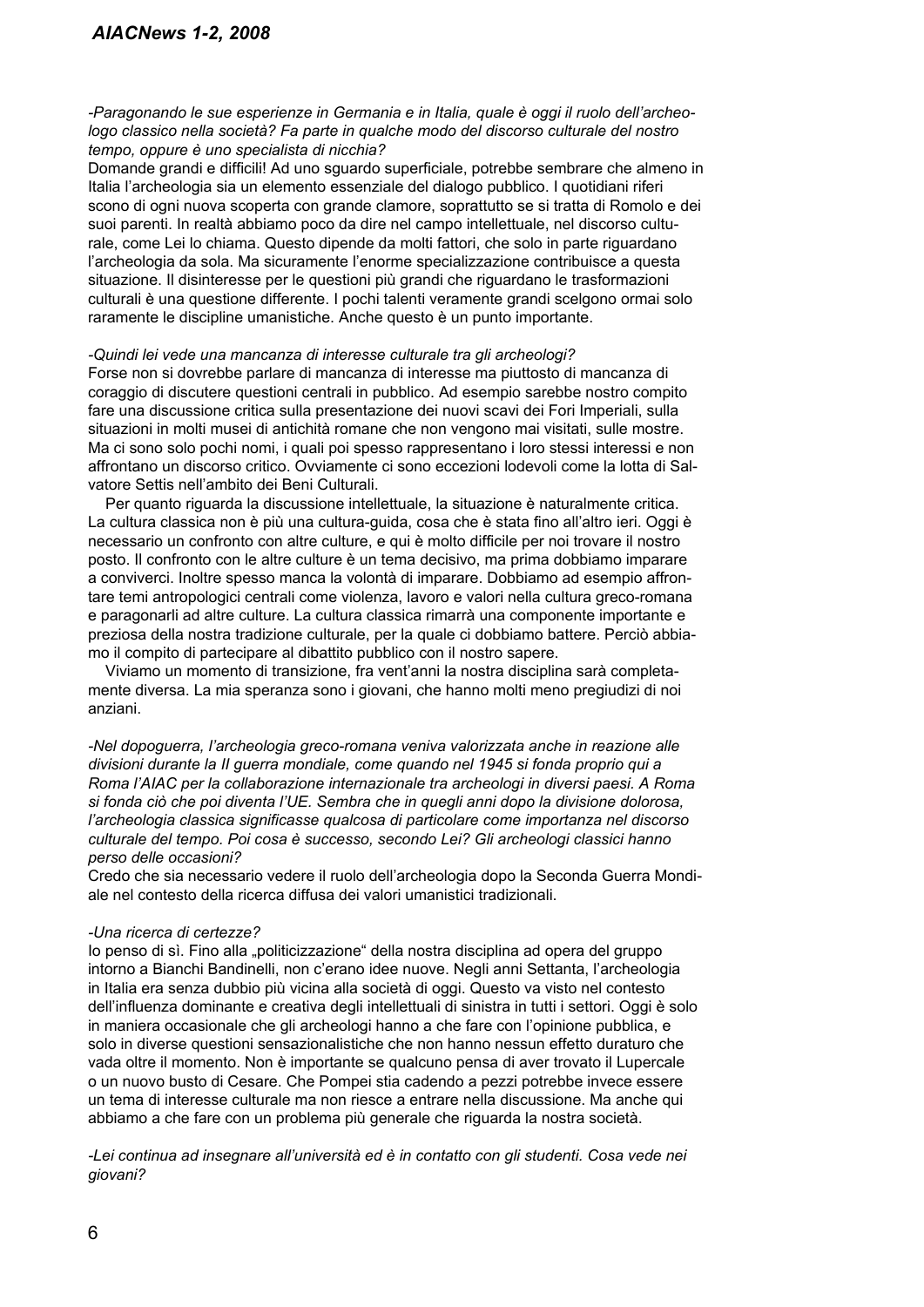*-Paragonando le sue esperienze in Germania e in Italia, quale è oggi il ruolo dell'archeologo classico nella società? Fa parte in qualche modo del discorso culturale del nostro tempo, oppure è uno specialista di nicchia?*

Domande grandi e difficili! Ad uno sguardo superficiale, potrebbe sembrare che almeno in Italia l'archeologia sia un elemento essenziale del dialogo pubblico. I quotidiani riferi scono di ogni nuova scoperta con grande clamore, soprattutto se si tratta di Romolo e dei suoi parenti. In realtà abbiamo poco da dire nel campo intellettuale, nel discorso culturale, come Lei lo chiama. Questo dipende da molti fattori, che solo in parte riguardano l'archeologia da sola. Ma sicuramente l'enorme specializzazione contribuisce a questa situazione. Il disinteresse per le questioni più grandi che riguardano le trasformazioni culturali è una questione differente. I pochi talenti veramente grandi scelgono ormai solo raramente le discipline umanistiche. Anche questo è un punto importante.

#### *-Quindi lei vede una mancanza di interesse culturale tra gli archeologi?*

Forse non si dovrebbe parlare di mancanza di interesse ma piuttosto di mancanza di coraggio di discutere questioni centrali in pubblico. Ad esempio sarebbe nostro compito fare una discussione critica sulla presentazione dei nuovi scavi dei Fori Imperiali, sulla situazioni in molti musei di antichità romane che non vengono mai visitati, sulle mostre. Ma ci sono solo pochi nomi, i quali poi spesso rappresentano i loro stessi interessi e non affrontano un discorso critico. Ovviamente ci sono eccezioni lodevoli come la lotta di Salvatore Settis nell'ambito dei Beni Culturali.

Per quanto riguarda la discussione intellettuale, la situazione è naturalmente critica. La cultura classica non è più una cultura-guida, cosa che è stata fino all'altro ieri. Oggi è necessario un confronto con altre culture, e qui è molto difficile per noi trovare il nostro posto. Il confronto con le altre culture è un tema decisivo, ma prima dobbiamo imparare a conviverci. Inoltre spesso manca la volontà di imparare. Dobbiamo ad esempio affrontare temi antropologici centrali come violenza, lavoro e valori nella cultura greco-romana e paragonarli ad altre culture. La cultura classica rimarrà una componente importante e preziosa della nostra tradizione culturale, per la quale ci dobbiamo battere. Perciò abbiamo il compito di partecipare al dibattito pubblico con il nostro sapere.

Viviamo un momento di transizione, fra vent'anni la nostra disciplina sarà completamente diversa. La mia speranza sono i giovani, che hanno molti meno pregiudizi di noi anziani.

*-Nel dopoguerra, l'archeologia greco-romana veniva valorizzata anche in reazione alle divisioni durante la II guerra mondiale, come quando nel 1945 si fonda proprio qui a Roma l'AIAC per la collaborazione internazionale tra archeologi in diversi paesi. A Roma si fonda ciò che poi diventa l'UE. Sembra che in quegli anni dopo la divisione dolorosa, l'archeologia classica significasse qualcosa di particolare come importanza nel discorso culturale del tempo. Poi cosa è successo, secondo Lei? Gli archeologi classici hanno perso delle occasioni?* 

Credo che sia necessario vedere il ruolo dell'archeologia dopo la Seconda Guerra Mondiale nel contesto della ricerca diffusa dei valori umanistici tradizionali.

#### *-Una ricerca di certezze?*

Io penso di sì. Fino alla "politicizzazione" della nostra disciplina ad opera del gruppo intorno a Bianchi Bandinelli, non c'erano idee nuove. Negli anni Settanta, l'archeologia in Italia era senza dubbio più vicina alla società di oggi. Questo va visto nel contesto dell'influenza dominante e creativa degli intellettuali di sinistra in tutti i settori. Oggi è solo in maniera occasionale che gli archeologi hanno a che fare con l'opinione pubblica, e solo in diverse questioni sensazionalistiche che non hanno nessun effetto duraturo che vada oltre il momento. Non è importante se qualcuno pensa di aver trovato il Lupercale o un nuovo busto di Cesare. Che Pompei stia cadendo a pezzi potrebbe invece essere un tema di interesse culturale ma non riesce a entrare nella discussione. Ma anche qui abbiamo a che fare con un problema più generale che riguarda la nostra società.

*-Lei continua ad insegnare all'università ed è in contatto con gli studenti. Cosa vede nei giovani?*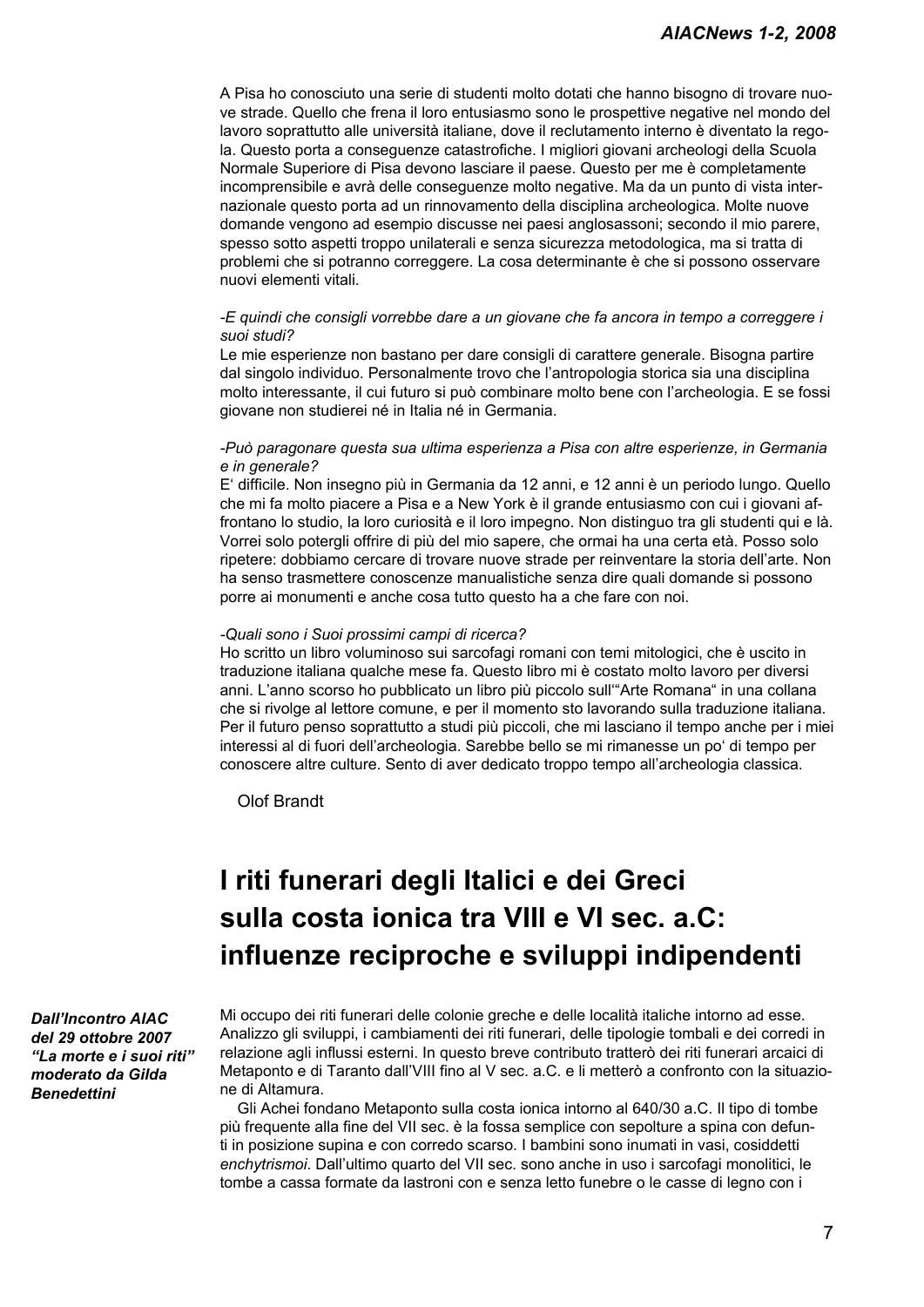A Pisa ho conosciuto una serie di studenti molto dotati che hanno bisogno di trovare nuove strade. Quello che frena il loro entusiasmo sono le prospettive negative nel mondo del lavoro soprattutto alle università italiane, dove il reclutamento interno è diventato la regola. Questo porta a conseguenze catastrofiche. I migliori giovani archeologi della Scuola Normale Superiore di Pisa devono lasciare il paese. Questo per me è completamente incomprensibile e avrà delle conseguenze molto negative. Ma da un punto di vista internazionale questo porta ad un rinnovamento della disciplina archeologica. Molte nuove domande vengono ad esempio discusse nei paesi anglosassoni; secondo il mio parere, spesso sotto aspetti troppo unilaterali e senza sicurezza metodologica, ma si tratta di problemi che si potranno correggere. La cosa determinante è che si possono osservare nuovi elementi vitali.

#### *-E quindi che consigli vorrebbe dare a un giovane che fa ancora in tempo a correggere i suoi studi?*

Le mie esperienze non bastano per dare consigli di carattere generale. Bisogna partire dal singolo individuo. Personalmente trovo che l'antropologia storica sia una disciplina molto interessante, il cui futuro si può combinare molto bene con l'archeologia. E se fossi giovane non studierei né in Italia né in Germania.

#### *-Può paragonare questa sua ultima esperienza a Pisa con altre esperienze, in Germania e in generale?*

E' difficile. Non insegno più in Germania da 12 anni, e 12 anni è un periodo lungo. Quello che mi fa molto piacere a Pisa e a New York è il grande entusiasmo con cui i giovani affrontano lo studio, la loro curiosità e il loro impegno. Non distinguo tra gli studenti qui e là. Vorrei solo potergli offrire di più del mio sapere, che ormai ha una certa età. Posso solo ripetere: dobbiamo cercare di trovare nuove strade per reinventare la storia dell'arte. Non ha senso trasmettere conoscenze manualistiche senza dire quali domande si possono porre ai monumenti e anche cosa tutto questo ha a che fare con noi.

#### *-Quali sono i Suoi prossimi campi di ricerca?*

Ho scritto un libro voluminoso sui sarcofagi romani con temi mitologici, che è uscito in traduzione italiana qualche mese fa. Questo libro mi è costato molto lavoro per diversi anni. L'anno scorso ho pubblicato un libro più piccolo sull'"Arte Romana" in una collana che si rivolge al lettore comune, e per il momento sto lavorando sulla traduzione italiana. Per il futuro penso soprattutto a studi più piccoli, che mi lasciano il tempo anche per i miei interessi al di fuori dell'archeologia. Sarebbe bello se mi rimanesse un po' di tempo per conoscere altre culture. Sento di aver dedicato troppo tempo all'archeologia classica.

Olof Brandt

## **I riti funerari degli Italici e dei Greci sulla costa ionica tra VIII e VI sec. a.C: influenze reciproche e sviluppi indipendenti**

*Dall'Incontro AIAC del 29 ottobre 2007 "La morte e i suoi riti" moderato da Gilda Benedettini* 

Mi occupo dei riti funerari delle colonie greche e delle località italiche intorno ad esse. Analizzo gli sviluppi, i cambiamenti dei riti funerari, delle tipologie tombali e dei corredi in relazione agli influssi esterni. In questo breve contributo tratterò dei riti funerari arcaici di Metaponto e di Taranto dall'VIII fino al V sec. a.C. e li metterò a confronto con la situazione di Altamura.

Gli Achei fondano Metaponto sulla costa ionica intorno al 640/30 a.C. Il tipo di tombe più frequente alla fine del VII sec. è la fossa semplice con sepolture a spina con defunti in posizione supina e con corredo scarso. I bambini sono inumati in vasi, cosiddetti *enchytrismoi*. Dall'ultimo quarto del VII sec. sono anche in uso i sarcofagi monolitici, le tombe a cassa formate da lastroni con e senza letto funebre o le casse di legno con i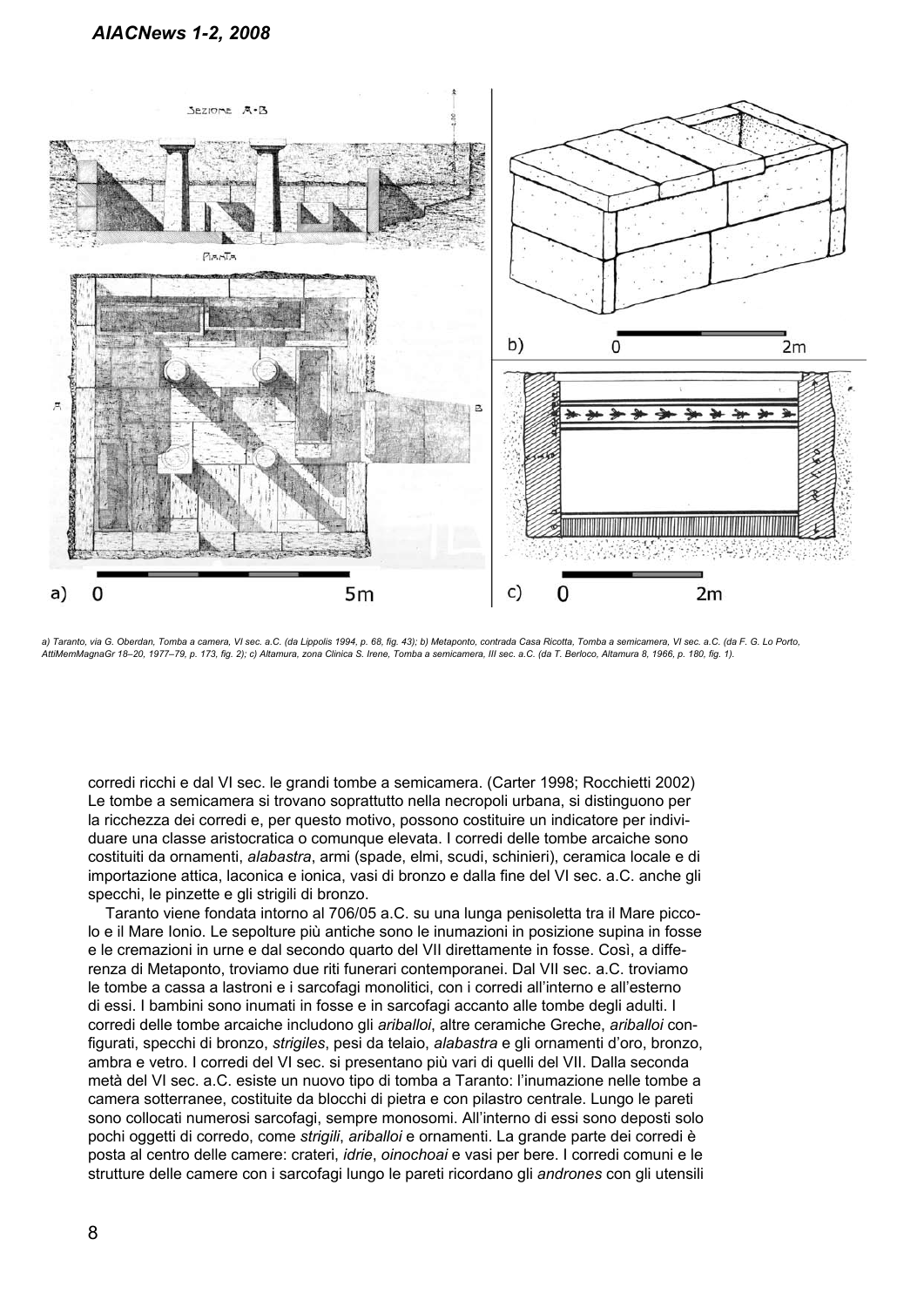

*a) Taranto, via G. Oberdan, Tomba a camera, VI sec. a.C. (da Lippolis 1994, p. 68, fig. 43); b) Metaponto, contrada Casa Ricotta, Tomba a semicamera, VI sec. a.C. (da F. G. Lo Porto, AttiMemMagnaGr 18–20, 1977–79, p. 173, fig. 2); c) Altamura, zona Clinica S. Irene, Tomba a semicamera, III sec. a.C. (da T. Berloco, Altamura 8, 1966, p. 180, fig. 1).*

corredi ricchi e dal VI sec. le grandi tombe a semicamera. (Carter 1998; Rocchietti 2002) Le tombe a semicamera si trovano soprattutto nella necropoli urbana, si distinguono per la ricchezza dei corredi e, per questo motivo, possono costituire un indicatore per individuare una classe aristocratica o comunque elevata. I corredi delle tombe arcaiche sono costituiti da ornamenti, *alabastra*, armi (spade, elmi, scudi, schinieri), ceramica locale e di importazione attica, laconica e ionica, vasi di bronzo e dalla fine del VI sec. a.C. anche gli specchi, le pinzette e gli strigili di bronzo.

Taranto viene fondata intorno al 706/05 a.C. su una lunga penisoletta tra il Mare piccolo e il Mare Ionio. Le sepolture più antiche sono le inumazioni in posizione supina in fosse e le cremazioni in urne e dal secondo quarto del VII direttamente in fosse. Così, a differenza di Metaponto, troviamo due riti funerari contemporanei. Dal VII sec. a.C. troviamo le tombe a cassa a lastroni e i sarcofagi monolitici, con i corredi all'interno e all'esterno di essi. I bambini sono inumati in fosse e in sarcofagi accanto alle tombe degli adulti. I corredi delle tombe arcaiche includono gli *ariballoi*, altre ceramiche Greche, *ariballoi* configurati, specchi di bronzo, *strigiles*, pesi da telaio, *alabastra* e gli ornamenti d'oro, bronzo, ambra e vetro. I corredi del VI sec. si presentano più vari di quelli del VII. Dalla seconda metà del VI sec. a.C. esiste un nuovo tipo di tomba a Taranto: l'inumazione nelle tombe a camera sotterranee, costituite da blocchi di pietra e con pilastro centrale. Lungo le pareti sono collocati numerosi sarcofagi, sempre monosomi. All'interno di essi sono deposti solo pochi oggetti di corredo, come *strigili*, *ariballoi* e ornamenti. La grande parte dei corredi è posta al centro delle camere: crateri, *idrie*, *oinochoai* e vasi per bere. I corredi comuni e le strutture delle camere con i sarcofagi lungo le pareti ricordano gli *andrones* con gli utensili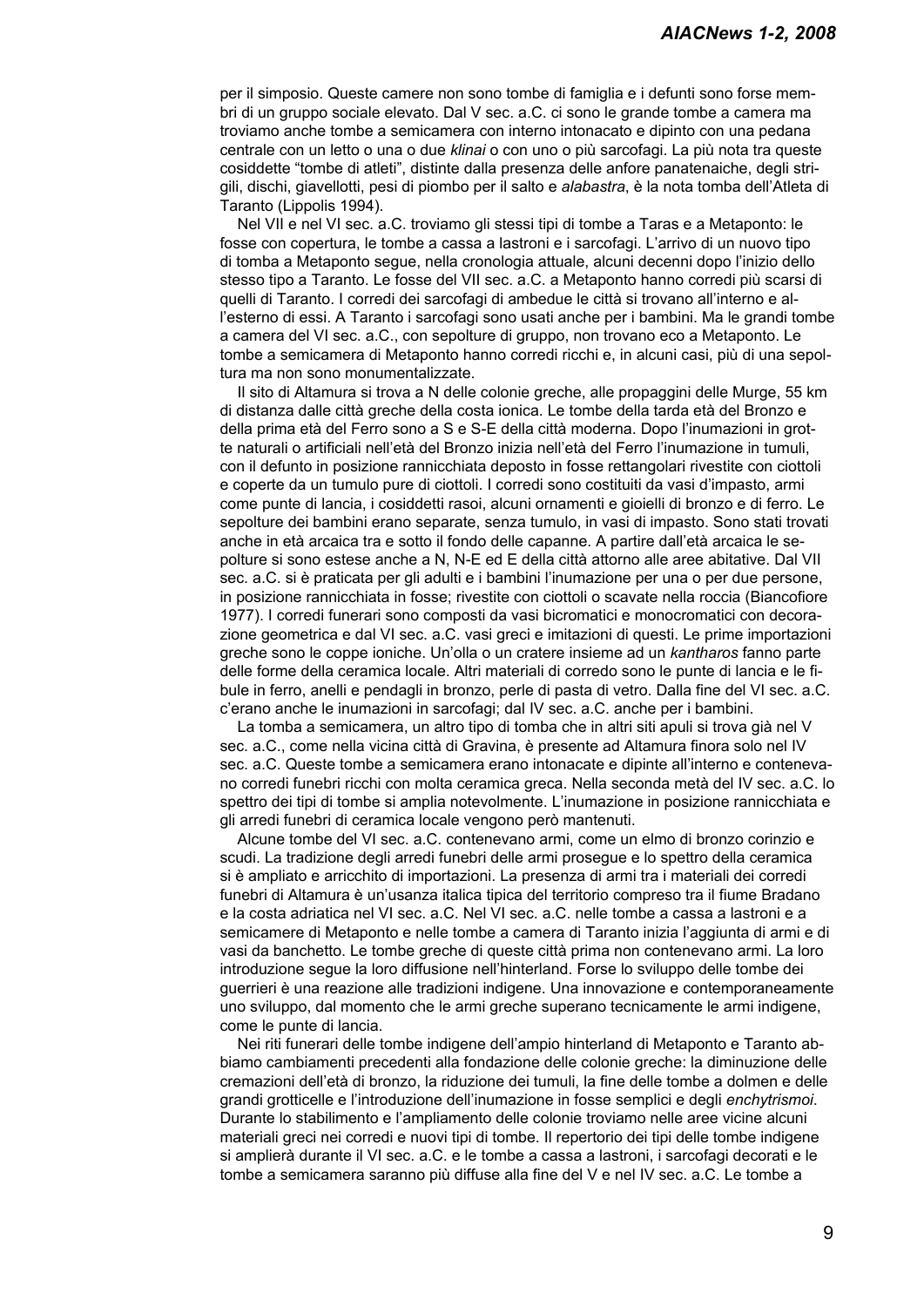per il simposio. Queste camere non sono tombe di famiglia e i defunti sono forse membri di un gruppo sociale elevato. Dal V sec. a.C. ci sono le grande tombe a camera ma troviamo anche tombe a semicamera con interno intonacato e dipinto con una pedana centrale con un letto o una o due *klinai* o con uno o più sarcofagi. La più nota tra queste cosiddette "tombe di atleti", distinte dalla presenza delle anfore panatenaiche, degli strigili, dischi, giavellotti, pesi di piombo per il salto e *alabastra*, è la nota tomba dell'Atleta di Taranto (Lippolis 1994).

Nel VII e nel VI sec. a.C. troviamo gli stessi tipi di tombe a Taras e a Metaponto: le fosse con copertura, le tombe a cassa a lastroni e i sarcofagi. L'arrivo di un nuovo tipo di tomba a Metaponto segue, nella cronologia attuale, alcuni decenni dopo l'inizio dello stesso tipo a Taranto. Le fosse del VII sec. a.C. a Metaponto hanno corredi più scarsi di quelli di Taranto. I corredi dei sarcofagi di ambedue le città si trovano all'interno e all'esterno di essi. A Taranto i sarcofagi sono usati anche per i bambini. Ma le grandi tombe a camera del VI sec. a.C., con sepolture di gruppo, non trovano eco a Metaponto. Le tombe a semicamera di Metaponto hanno corredi ricchi e, in alcuni casi, più di una sepoltura ma non sono monumentalizzate.

Il sito di Altamura si trova a N delle colonie greche, alle propaggini delle Murge, 55 km di distanza dalle città greche della costa ionica. Le tombe della tarda età del Bronzo e della prima età del Ferro sono a S e S-E della città moderna. Dopo l'inumazioni in grotte naturali o artificiali nell'età del Bronzo inizia nell'età del Ferro l'inumazione in tumuli, con il defunto in posizione rannicchiata deposto in fosse rettangolari rivestite con ciottoli e coperte da un tumulo pure di ciottoli. I corredi sono costituiti da vasi d'impasto, armi come punte di lancia, i cosiddetti rasoi, alcuni ornamenti e gioielli di bronzo e di ferro. Le sepolture dei bambini erano separate, senza tumulo, in vasi di impasto. Sono stati trovati anche in età arcaica tra e sotto il fondo delle capanne. A partire dall'età arcaica le sepolture si sono estese anche a N, N-E ed E della città attorno alle aree abitative. Dal VII sec. a.C. si è praticata per gli adulti e i bambini l'inumazione per una o per due persone, in posizione rannicchiata in fosse; rivestite con ciottoli o scavate nella roccia (Biancofiore 1977). I corredi funerari sono composti da vasi bicromatici e monocromatici con decorazione geometrica e dal VI sec. a.C. vasi greci e imitazioni di questi. Le prime importazioni greche sono le coppe ioniche. Un'olla o un cratere insieme ad un *kantharos* fanno parte delle forme della ceramica locale. Altri materiali di corredo sono le punte di lancia e le fibule in ferro, anelli e pendagli in bronzo, perle di pasta di vetro. Dalla fine del VI sec. a.C. c'erano anche le inumazioni in sarcofagi; dal IV sec. a.C. anche per i bambini.

La tomba a semicamera, un altro tipo di tomba che in altri siti apuli si trova già nel V sec. a.C., come nella vicina città di Gravina, è presente ad Altamura finora solo nel IV sec. a.C. Queste tombe a semicamera erano intonacate e dipinte all'interno e contenevano corredi funebri ricchi con molta ceramica greca. Nella seconda metà del IV sec. a.C. lo spettro dei tipi di tombe si amplia notevolmente. L'inumazione in posizione rannicchiata e gli arredi funebri di ceramica locale vengono però mantenuti.

Alcune tombe del VI sec. a.C. contenevano armi, come un elmo di bronzo corinzio e scudi. La tradizione degli arredi funebri delle armi prosegue e lo spettro della ceramica si è ampliato e arricchito di importazioni. La presenza di armi tra i materiali dei corredi funebri di Altamura è un'usanza italica tipica del territorio compreso tra il fiume Bradano e la costa adriatica nel VI sec. a.C. Nel VI sec. a.C. nelle tombe a cassa a lastroni e a semicamere di Metaponto e nelle tombe a camera di Taranto inizia l'aggiunta di armi e di vasi da banchetto. Le tombe greche di queste città prima non contenevano armi. La loro introduzione segue la loro diffusione nell'hinterland. Forse lo sviluppo delle tombe dei guerrieri è una reazione alle tradizioni indigene. Una innovazione e contemporaneamente uno sviluppo, dal momento che le armi greche superano tecnicamente le armi indigene, come le punte di lancia.

Nei riti funerari delle tombe indigene dell'ampio hinterland di Metaponto e Taranto abbiamo cambiamenti precedenti alla fondazione delle colonie greche: la diminuzione delle cremazioni dell'età di bronzo, la riduzione dei tumuli, la fine delle tombe a dolmen e delle grandi grotticelle e l'introduzione dell'inumazione in fosse semplici e degli *enchytrismoi*. Durante lo stabilimento e l'ampliamento delle colonie troviamo nelle aree vicine alcuni materiali greci nei corredi e nuovi tipi di tombe. Il repertorio dei tipi delle tombe indigene si amplierà durante il VI sec. a.C. e le tombe a cassa a lastroni, i sarcofagi decorati e le tombe a semicamera saranno più diffuse alla fine del V e nel IV sec. a.C. Le tombe a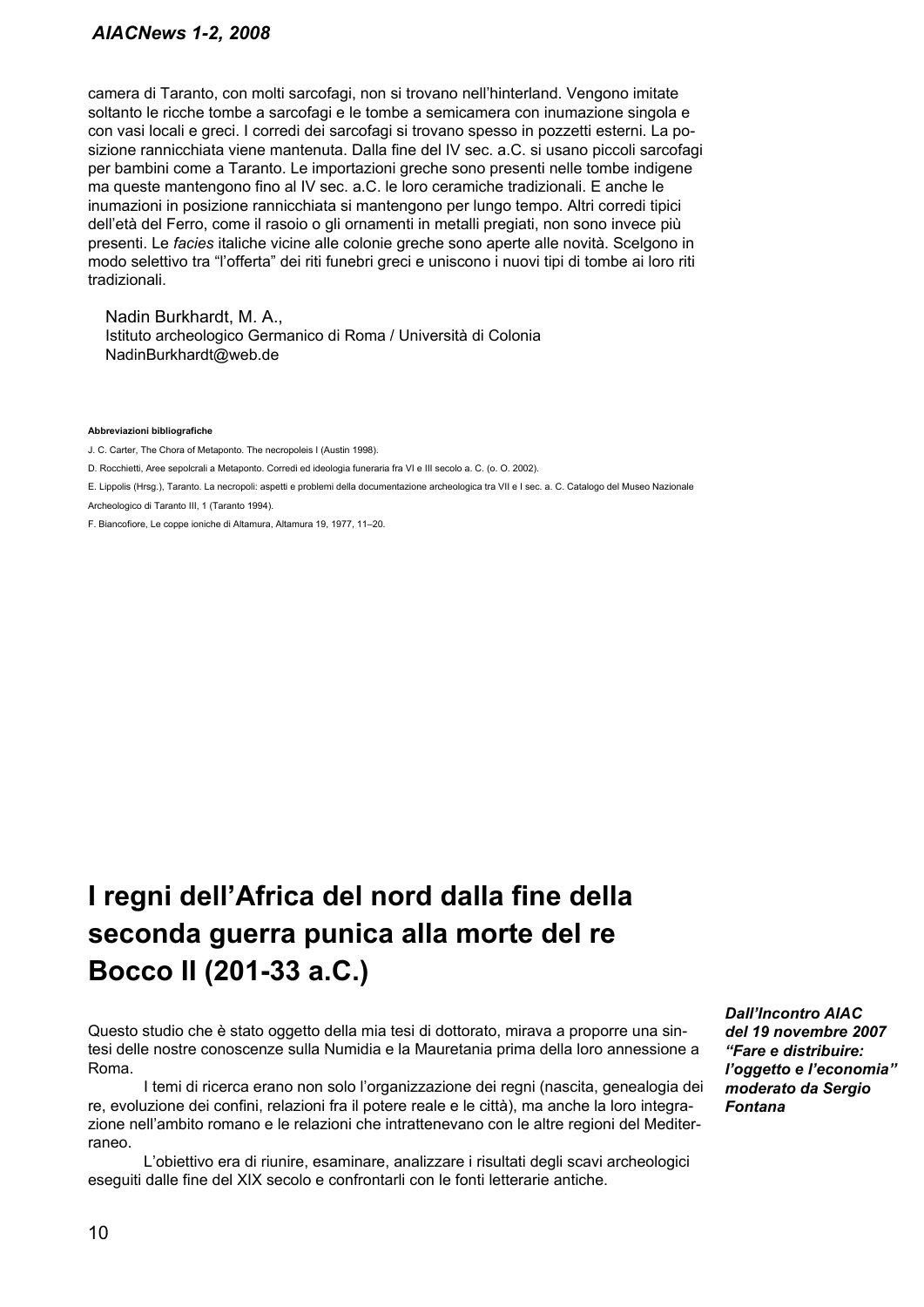camera di Taranto, con molti sarcofagi, non si trovano nell'hinterland. Vengono imitate soltanto le ricche tombe a sarcofagi e le tombe a semicamera con inumazione singola e con vasi locali e greci. I corredi dei sarcofagi si trovano spesso in pozzetti esterni. La posizione rannicchiata viene mantenuta. Dalla fine del IV sec. a.C. si usano piccoli sarcofagi per bambini come a Taranto. Le importazioni greche sono presenti nelle tombe indigene ma queste mantengono fino al IV sec. a.C. le loro ceramiche tradizionali. E anche le inumazioni in posizione rannicchiata si mantengono per lungo tempo. Altri corredi tipici dell'età del Ferro, come il rasoio o gli ornamenti in metalli pregiati, non sono invece più presenti. Le *facies* italiche vicine alle colonie greche sono aperte alle novità. Scelgono in modo selettivo tra "l'offerta" dei riti funebri greci e uniscono i nuovi tipi di tombe ai loro riti tradizionali.

Nadin Burkhardt, M. A., Istituto archeologico Germanico di Roma / Università di Colonia NadinBurkhardt@web.de

**Abbreviazioni bibliografiche**

J. C. Carter, The Chora of Metaponto. The necropoleis I (Austin 1998).

D. Rocchietti, Aree sepolcrali a Metaponto. Corredi ed ideologia funeraria fra VI e III secolo a. C. (o. O. 2002).

E. Lippolis (Hrsg.), Taranto. La necropoli: aspetti e problemi della documentazione archeologica tra VII e I sec. a. C. Catalogo del Museo Nazionale

Archeologico di Taranto III, 1 (Taranto 1994).

F. Biancofiore, Le coppe ioniche di Altamura, Altamura 19, 1977, 11–20.

## **I regni dell'Africa del nord dalla fine della seconda guerra punica alla morte del re Bocco II (201-33 a.C.)**

Questo studio che è stato oggetto della mia tesi di dottorato, mirava a proporre una sintesi delle nostre conoscenze sulla Numidia e la Mauretania prima della loro annessione a Roma.

I temi di ricerca erano non solo l'organizzazione dei regni (nascita, genealogia dei re, evoluzione dei confini, relazioni fra il potere reale e le città), ma anche la loro integrazione nell'ambito romano e le relazioni che intrattenevano con le altre regioni del Mediterraneo.

L'obiettivo era di riunire, esaminare, analizzare i risultati degli scavi archeologici eseguiti dalle fine del XIX secolo e confrontarli con le fonti letterarie antiche.

*Dall'Incontro AIAC del 19 novembre 2007 "Fare e distribuire: l'oggetto e l'economia" moderato da Sergio Fontana*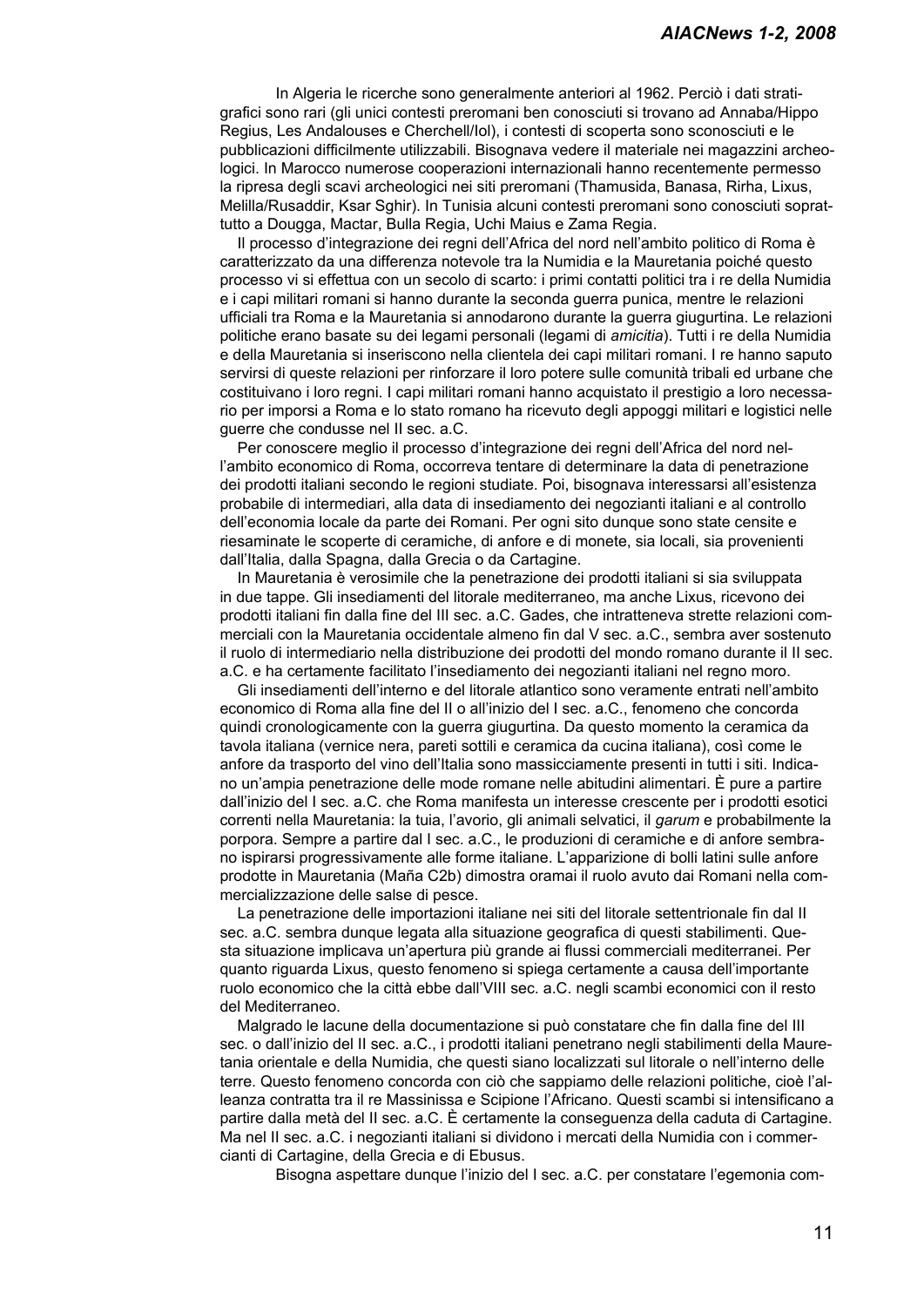In Algeria le ricerche sono generalmente anteriori al 1962. Perciò i dati stratigrafici sono rari (gli unici contesti preromani ben conosciuti si trovano ad Annaba/Hippo Regius, Les Andalouses e Cherchell/Iol), i contesti di scoperta sono sconosciuti e le pubblicazioni difficilmente utilizzabili. Bisognava vedere il materiale nei magazzini archeologici. In Marocco numerose cooperazioni internazionali hanno recentemente permesso la ripresa degli scavi archeologici nei siti preromani (Thamusida, Banasa, Rirha, Lixus, Melilla/Rusaddir, Ksar Sghir). In Tunisia alcuni contesti preromani sono conosciuti soprattutto a Dougga, Mactar, Bulla Regia, Uchi Maius e Zama Regia.

Il processo d'integrazione dei regni dell'Africa del nord nell'ambito politico di Roma è caratterizzato da una differenza notevole tra la Numidia e la Mauretania poiché questo processo vi si effettua con un secolo di scarto: i primi contatti politici tra i re della Numidia e i capi militari romani si hanno durante la seconda guerra punica, mentre le relazioni ufficiali tra Roma e la Mauretania si annodarono durante la guerra giugurtina. Le relazioni politiche erano basate su dei legami personali (legami di *amicitia*). Tutti i re della Numidia e della Mauretania si inseriscono nella clientela dei capi militari romani. I re hanno saputo servirsi di queste relazioni per rinforzare il loro potere sulle comunità tribali ed urbane che costituivano i loro regni. I capi militari romani hanno acquistato il prestigio a loro necessario per imporsi a Roma e lo stato romano ha ricevuto degli appoggi militari e logistici nelle guerre che condusse nel II sec. a.C.

Per conoscere meglio il processo d'integrazione dei regni dell'Africa del nord nell'ambito economico di Roma, occorreva tentare di determinare la data di penetrazione dei prodotti italiani secondo le regioni studiate. Poi, bisognava interessarsi all'esistenza probabile di intermediari, alla data di insediamento dei negozianti italiani e al controllo dell'economia locale da parte dei Romani. Per ogni sito dunque sono state censite e riesaminate le scoperte di ceramiche, di anfore e di monete, sia locali, sia provenienti dall'Italia, dalla Spagna, dalla Grecia o da Cartagine.

In Mauretania è verosimile che la penetrazione dei prodotti italiani si sia sviluppata in due tappe. Gli insediamenti del litorale mediterraneo, ma anche Lixus, ricevono dei prodotti italiani fin dalla fine del III sec. a.C. Gades, che intratteneva strette relazioni commerciali con la Mauretania occidentale almeno fin dal V sec. a.C., sembra aver sostenuto il ruolo di intermediario nella distribuzione dei prodotti del mondo romano durante il II sec. a.C. e ha certamente facilitato l'insediamento dei negozianti italiani nel regno moro.

Gli insediamenti dell'interno e del litorale atlantico sono veramente entrati nell'ambito economico di Roma alla fine del II o all'inizio del I sec. a.C., fenomeno che concorda quindi cronologicamente con la guerra giugurtina. Da questo momento la ceramica da tavola italiana (vernice nera, pareti sottili e ceramica da cucina italiana), così come le anfore da trasporto del vino dell'Italia sono massicciamente presenti in tutti i siti. Indicano un'ampia penetrazione delle mode romane nelle abitudini alimentari. È pure a partire dall'inizio del I sec. a.C. che Roma manifesta un interesse crescente per i prodotti esotici correnti nella Mauretania: la tuia, l'avorio, gli animali selvatici, il *garum* e probabilmente la porpora. Sempre a partire dal I sec. a.C., le produzioni di ceramiche e di anfore sembrano ispirarsi progressivamente alle forme italiane. L'apparizione di bolli latini sulle anfore prodotte in Mauretania (Maña C2b) dimostra oramai il ruolo avuto dai Romani nella commercializzazione delle salse di pesce.

La penetrazione delle importazioni italiane nei siti del litorale settentrionale fin dal II sec. a.C. sembra dunque legata alla situazione geografica di questi stabilimenti. Questa situazione implicava un'apertura più grande ai flussi commerciali mediterranei. Per quanto riguarda Lixus, questo fenomeno si spiega certamente a causa dell'importante ruolo economico che la città ebbe dall'VIII sec. a.C. negli scambi economici con il resto del Mediterraneo.

Malgrado le lacune della documentazione si può constatare che fin dalla fine del III sec. o dall'inizio del II sec. a.C., i prodotti italiani penetrano negli stabilimenti della Mauretania orientale e della Numidia, che questi siano localizzati sul litorale o nell'interno delle terre. Questo fenomeno concorda con ciò che sappiamo delle relazioni politiche, cioè l'alleanza contratta tra il re Massinissa e Scipione l'Africano. Questi scambi si intensificano a partire dalla metà del II sec. a.C. È certamente la conseguenza della caduta di Cartagine. Ma nel II sec. a.C. i negozianti italiani si dividono i mercati della Numidia con i commercianti di Cartagine, della Grecia e di Ebusus.

Bisogna aspettare dunque l'inizio del I sec. a.C. per constatare l'egemonia com-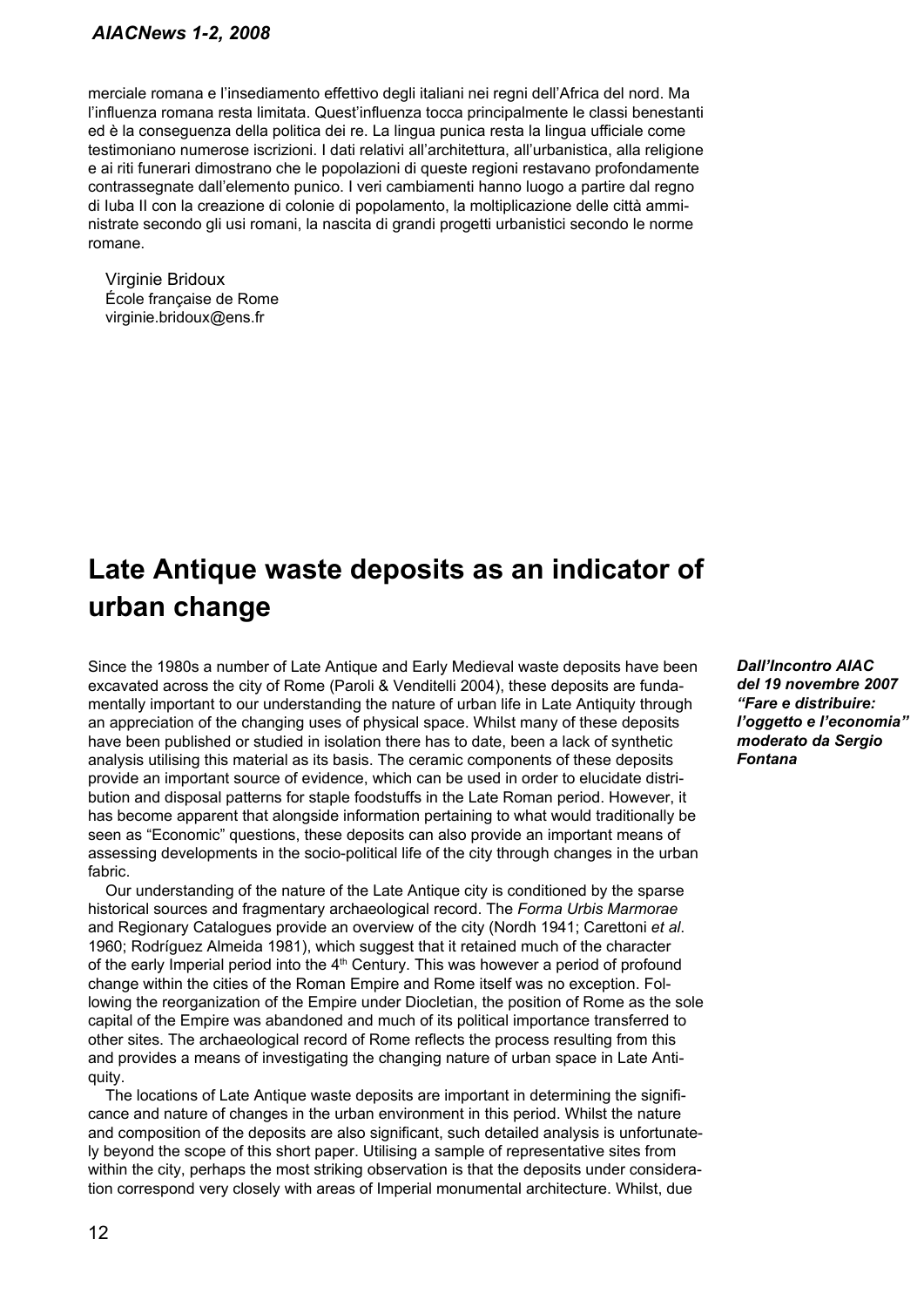merciale romana e l'insediamento effettivo degli italiani nei regni dell'Africa del nord. Ma l'influenza romana resta limitata. Quest'influenza tocca principalmente le classi benestanti ed è la conseguenza della politica dei re. La lingua punica resta la lingua ufficiale come testimoniano numerose iscrizioni. I dati relativi all'architettura, all'urbanistica, alla religione e ai riti funerari dimostrano che le popolazioni di queste regioni restavano profondamente contrassegnate dall'elemento punico. I veri cambiamenti hanno luogo a partire dal regno di Iuba II con la creazione di colonie di popolamento, la moltiplicazione delle città amministrate secondo gli usi romani, la nascita di grandi progetti urbanistici secondo le norme romane.

Virginie Bridoux École française de Rome virginie.bridoux@ens.fr

## **Late Antique waste deposits as an indicator of urban change**

Since the 1980s a number of Late Antique and Early Medieval waste deposits have been excavated across the city of Rome (Paroli & Venditelli 2004), these deposits are fundamentally important to our understanding the nature of urban life in Late Antiquity through an appreciation of the changing uses of physical space. Whilst many of these deposits have been published or studied in isolation there has to date, been a lack of synthetic analysis utilising this material as its basis. The ceramic components of these deposits provide an important source of evidence, which can be used in order to elucidate distribution and disposal patterns for staple foodstuffs in the Late Roman period. However, it has become apparent that alongside information pertaining to what would traditionally be seen as "Economic" questions, these deposits can also provide an important means of assessing developments in the socio-political life of the city through changes in the urban fabric.

Our understanding of the nature of the Late Antique city is conditioned by the sparse historical sources and fragmentary archaeological record. The *Forma Urbis Marmorae* and Regionary Catalogues provide an overview of the city (Nordh 1941; Carettoni *et al*. 1960; Rodríguez Almeida 1981), which suggest that it retained much of the character of the early Imperial period into the  $4<sup>th</sup>$  Century. This was however a period of profound change within the cities of the Roman Empire and Rome itself was no exception. Following the reorganization of the Empire under Diocletian, the position of Rome as the sole capital of the Empire was abandoned and much of its political importance transferred to other sites. The archaeological record of Rome reflects the process resulting from this and provides a means of investigating the changing nature of urban space in Late Antiquity.

The locations of Late Antique waste deposits are important in determining the significance and nature of changes in the urban environment in this period. Whilst the nature and composition of the deposits are also significant, such detailed analysis is unfortunately beyond the scope of this short paper. Utilising a sample of representative sites from within the city, perhaps the most striking observation is that the deposits under consideration correspond very closely with areas of Imperial monumental architecture. Whilst, due

*Dall'Incontro AIAC del 19 novembre 2007 "Fare e distribuire: l'oggetto e l'economia" moderato da Sergio Fontana*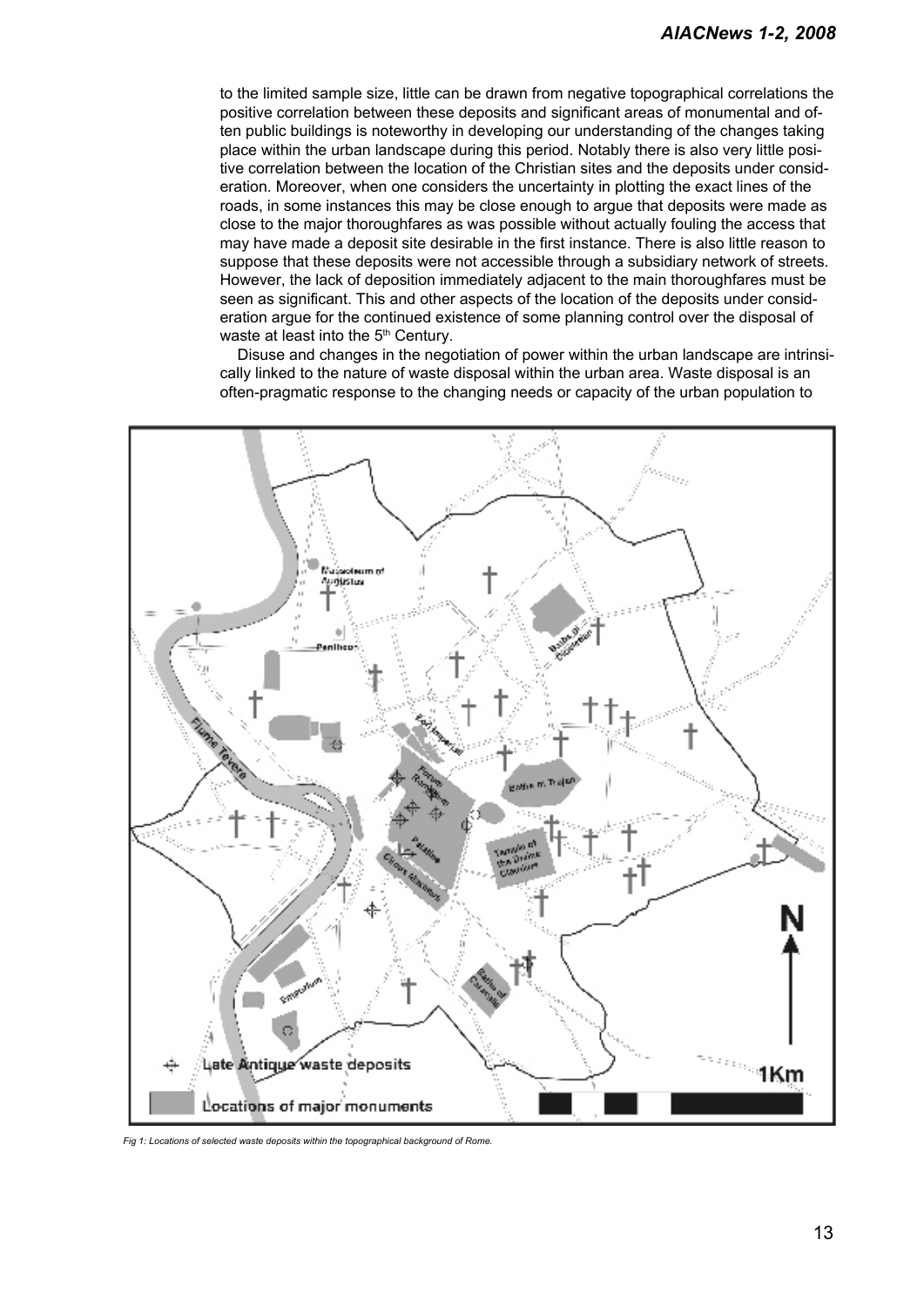to the limited sample size, little can be drawn from negative topographical correlations the positive correlation between these deposits and significant areas of monumental and often public buildings is noteworthy in developing our understanding of the changes taking place within the urban landscape during this period. Notably there is also very little positive correlation between the location of the Christian sites and the deposits under consideration. Moreover, when one considers the uncertainty in plotting the exact lines of the roads, in some instances this may be close enough to argue that deposits were made as close to the major thoroughfares as was possible without actually fouling the access that may have made a deposit site desirable in the first instance. There is also little reason to suppose that these deposits were not accessible through a subsidiary network of streets. However, the lack of deposition immediately adjacent to the main thoroughfares must be seen as significant. This and other aspects of the location of the deposits under consideration argue for the continued existence of some planning control over the disposal of waste at least into the 5<sup>th</sup> Century.

Disuse and changes in the negotiation of power within the urban landscape are intrinsically linked to the nature of waste disposal within the urban area. Waste disposal is an often-pragmatic response to the changing needs or capacity of the urban population to



*Fig 1: Locations of selected waste deposits within the topographical background of Rome.*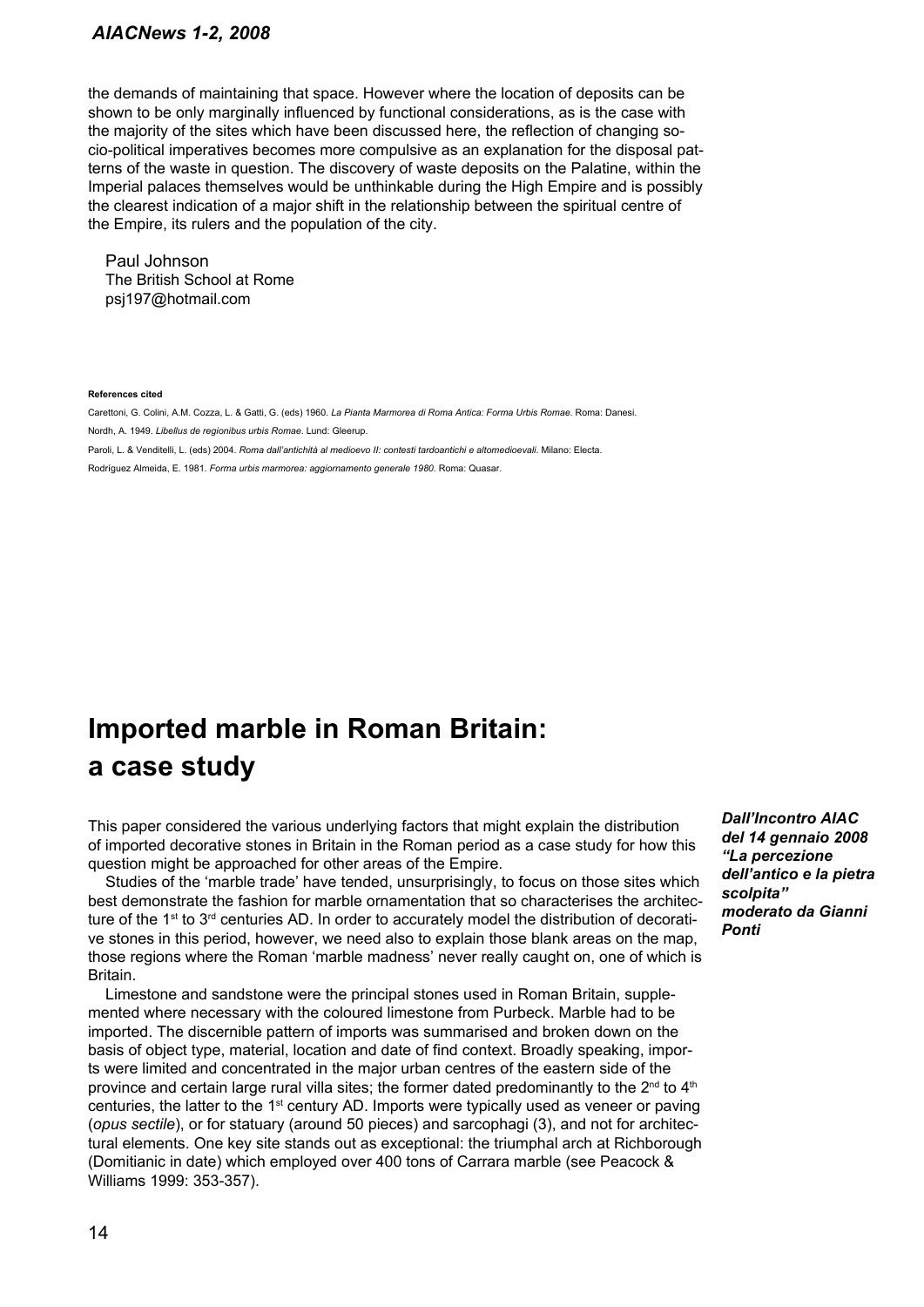the demands of maintaining that space. However where the location of deposits can be shown to be only marginally influenced by functional considerations, as is the case with the majority of the sites which have been discussed here, the reflection of changing socio-political imperatives becomes more compulsive as an explanation for the disposal patterns of the waste in question. The discovery of waste deposits on the Palatine, within the Imperial palaces themselves would be unthinkable during the High Empire and is possibly the clearest indication of a major shift in the relationship between the spiritual centre of the Empire, its rulers and the population of the city.

Paul Johnson The British School at Rome psj197@hotmail.com

#### **References cited**

Carettoni, G. Colini, A.M. Cozza, L. & Gatti, G. (eds) 1960. *La Pianta Marmorea di Roma Antica: Forma Urbis Romae*. Roma: Danesi. Nordh, A. 1949. *Libellus de regionibus urbis Romae*. Lund: Gleerup.

Paroli, L. & Venditelli, L. (eds) 2004. *Roma dall'antichità al medioevo II: contesti tardoantichi e altomedioevali*. Milano: Electa.

Rodríguez Almeida, E. 1981. *Forma urbis marmorea: aggiornamento generale 1980*. Roma: Quasar.

## **Imported marble in Roman Britain: a case study**

This paper considered the various underlying factors that might explain the distribution of imported decorative stones in Britain in the Roman period as a case study for how this question might be approached for other areas of the Empire.

Studies of the 'marble trade' have tended, unsurprisingly, to focus on those sites which best demonstrate the fashion for marble ornamentation that so characterises the architecture of the 1<sup>st</sup> to 3<sup>rd</sup> centuries AD. In order to accurately model the distribution of decorative stones in this period, however, we need also to explain those blank areas on the map, those regions where the Roman 'marble madness' never really caught on, one of which is Britain.

Limestone and sandstone were the principal stones used in Roman Britain, supplemented where necessary with the coloured limestone from Purbeck. Marble had to be imported. The discernible pattern of imports was summarised and broken down on the basis of object type, material, location and date of find context. Broadly speaking, imports were limited and concentrated in the major urban centres of the eastern side of the province and certain large rural villa sites; the former dated predominantly to the  $2^{nd}$  to  $4^{th}$ centuries, the latter to the 1st century AD. Imports were typically used as veneer or paving (*opus sectile*), or for statuary (around 50 pieces) and sarcophagi (3), and not for architectural elements. One key site stands out as exceptional: the triumphal arch at Richborough (Domitianic in date) which employed over 400 tons of Carrara marble (see Peacock & Williams 1999: 353-357).

*Dall'Incontro AIAC del 14 gennaio 2008 "La percezione dell'antico e la pietra scolpita" moderato da Gianni Ponti*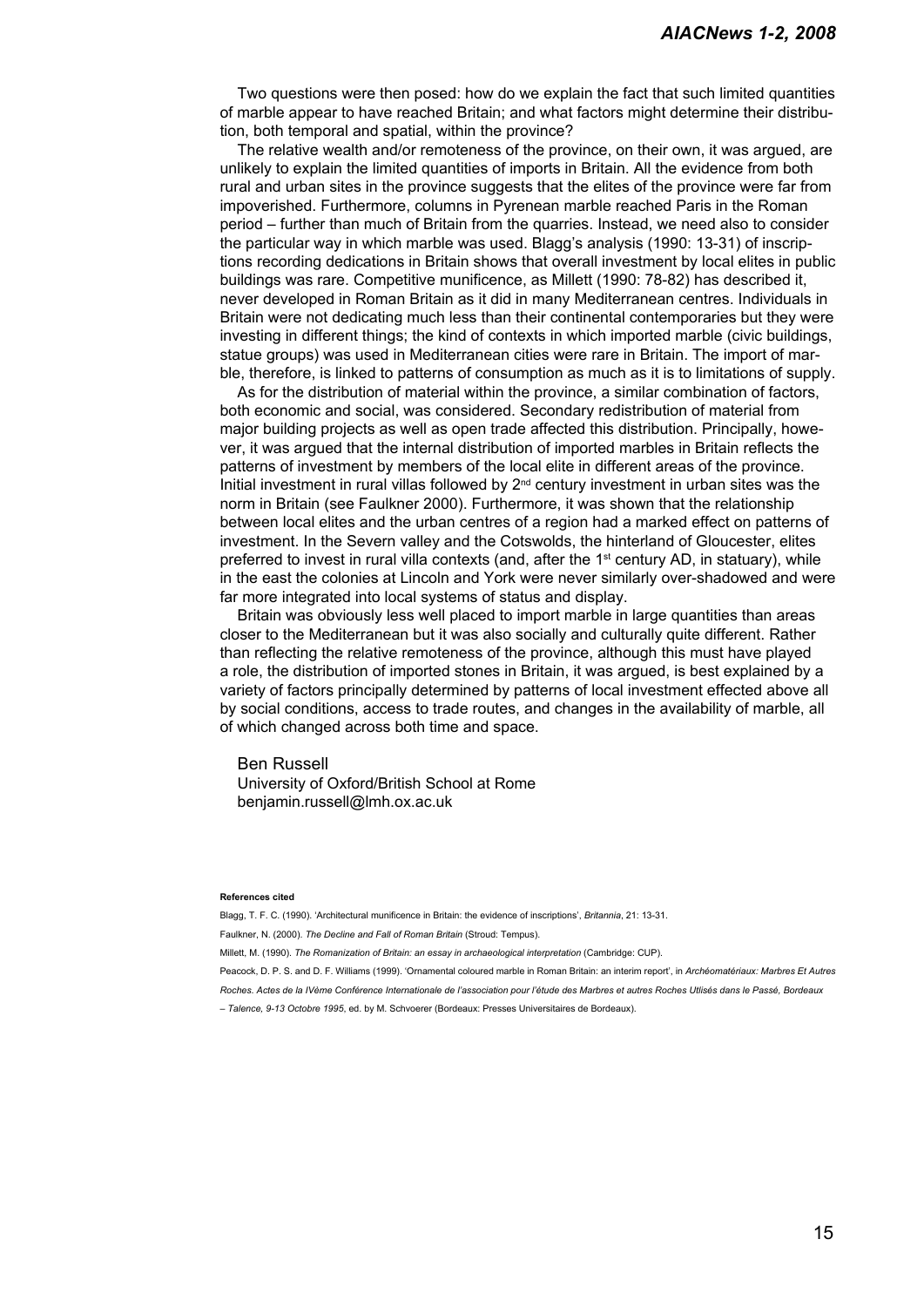Two questions were then posed: how do we explain the fact that such limited quantities of marble appear to have reached Britain; and what factors might determine their distribution, both temporal and spatial, within the province?

The relative wealth and/or remoteness of the province, on their own, it was argued, are unlikely to explain the limited quantities of imports in Britain. All the evidence from both rural and urban sites in the province suggests that the elites of the province were far from impoverished. Furthermore, columns in Pyrenean marble reached Paris in the Roman period – further than much of Britain from the quarries. Instead, we need also to consider the particular way in which marble was used. Blagg's analysis (1990: 13-31) of inscriptions recording dedications in Britain shows that overall investment by local elites in public buildings was rare. Competitive munificence, as Millett (1990: 78-82) has described it, never developed in Roman Britain as it did in many Mediterranean centres. Individuals in Britain were not dedicating much less than their continental contemporaries but they were investing in different things; the kind of contexts in which imported marble (civic buildings, statue groups) was used in Mediterranean cities were rare in Britain. The import of marble, therefore, is linked to patterns of consumption as much as it is to limitations of supply.

As for the distribution of material within the province, a similar combination of factors, both economic and social, was considered. Secondary redistribution of material from major building projects as well as open trade affected this distribution. Principally, however, it was argued that the internal distribution of imported marbles in Britain reflects the patterns of investment by members of the local elite in different areas of the province. Initial investment in rural villas followed by  $2<sup>nd</sup>$  century investment in urban sites was the norm in Britain (see Faulkner 2000). Furthermore, it was shown that the relationship between local elites and the urban centres of a region had a marked effect on patterns of investment. In the Severn valley and the Cotswolds, the hinterland of Gloucester, elites preferred to invest in rural villa contexts (and, after the  $1<sup>st</sup>$  century AD, in statuary), while in the east the colonies at Lincoln and York were never similarly over-shadowed and were far more integrated into local systems of status and display.

Britain was obviously less well placed to import marble in large quantities than areas closer to the Mediterranean but it was also socially and culturally quite different. Rather than reflecting the relative remoteness of the province, although this must have played a role, the distribution of imported stones in Britain, it was argued, is best explained by a variety of factors principally determined by patterns of local investment effected above all by social conditions, access to trade routes, and changes in the availability of marble, all of which changed across both time and space.

Ben Russell

University of Oxford/British School at Rome benjamin.russell@lmh.ox.ac.uk

#### **References cited**

Blagg, T. F. C. (1990). 'Architectural munificence in Britain: the evidence of inscriptions', *Britannia*, 21: 13-31.

Faulkner, N. (2000). *The Decline and Fall of Roman Britain* (Stroud: Tempus).

Millett, M. (1990). *The Romanization of Britain: an essay in archaeological interpretation* (Cambridge: CUP).

Peacock, D. P. S. and D. F. Williams (1999). 'Ornamental coloured marble in Roman Britain: an interim report', in *Archéomatériaux: Marbres Et Autres* 

*Roches. Actes de la IVème Conférence Internationale de l'association pour l'étude des Marbres et autres Roches Utlisés dans le Passé, Bordeaux* 

*– Talence, 9-13 Octobre 1995*, ed. by M. Schvoerer (Bordeaux: Presses Universitaires de Bordeaux).